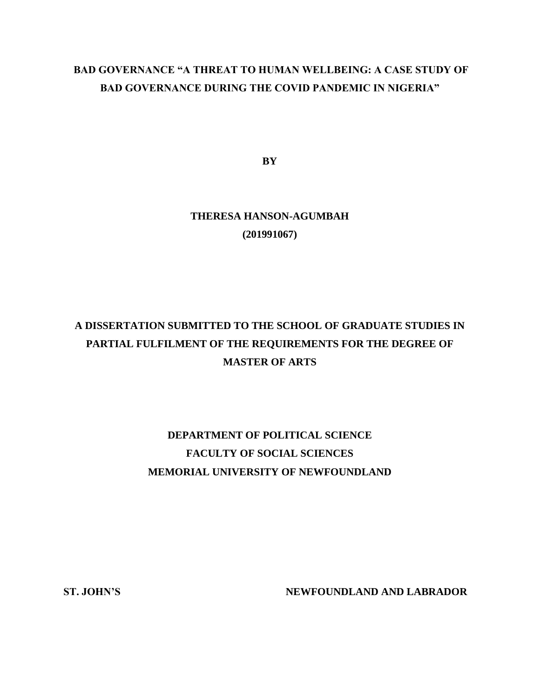## **BAD GOVERNANCE "A THREAT TO HUMAN WELLBEING: A CASE STUDY OF BAD GOVERNANCE DURING THE COVID PANDEMIC IN NIGERIA"**

**BY**

## **THERESA HANSON-AGUMBAH (201991067)**

# **A DISSERTATION SUBMITTED TO THE SCHOOL OF GRADUATE STUDIES IN PARTIAL FULFILMENT OF THE REQUIREMENTS FOR THE DEGREE OF MASTER OF ARTS**

# **DEPARTMENT OF POLITICAL SCIENCE FACULTY OF SOCIAL SCIENCES MEMORIAL UNIVERSITY OF NEWFOUNDLAND**

**ST. JOHN'S NEWFOUNDLAND AND LABRADOR**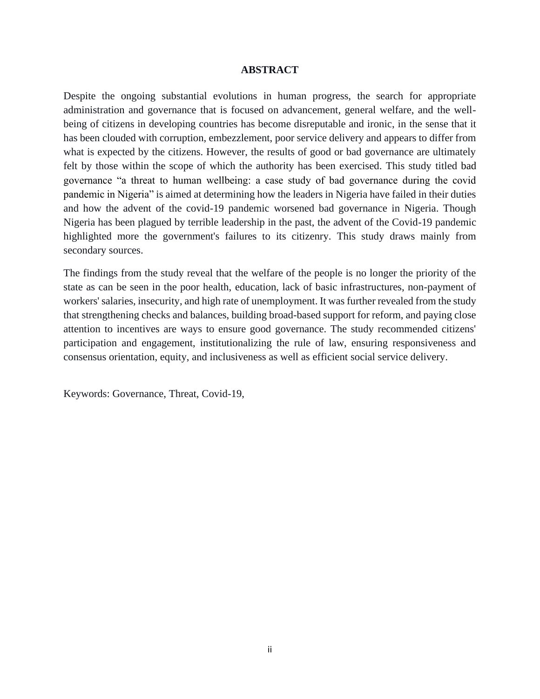### **ABSTRACT**

Despite the ongoing substantial evolutions in human progress, the search for appropriate administration and governance that is focused on advancement, general welfare, and the wellbeing of citizens in developing countries has become disreputable and ironic, in the sense that it has been clouded with corruption, embezzlement, poor service delivery and appears to differ from what is expected by the citizens. However, the results of good or bad governance are ultimately felt by those within the scope of which the authority has been exercised. This study titled bad governance "a threat to human wellbeing: a case study of bad governance during the covid pandemic in Nigeria" is aimed at determining how the leaders in Nigeria have failed in their duties and how the advent of the covid-19 pandemic worsened bad governance in Nigeria. Though Nigeria has been plagued by terrible leadership in the past, the advent of the Covid-19 pandemic highlighted more the government's failures to its citizenry. This study draws mainly from secondary sources.

The findings from the study reveal that the welfare of the people is no longer the priority of the state as can be seen in the poor health, education, lack of basic infrastructures, non-payment of workers' salaries, insecurity, and high rate of unemployment. It was further revealed from the study that strengthening checks and balances, building broad-based support for reform, and paying close attention to incentives are ways to ensure good governance. The study recommended citizens' participation and engagement, institutionalizing the rule of law, ensuring responsiveness and consensus orientation, equity, and inclusiveness as well as efficient social service delivery.

Keywords: Governance, Threat, Covid-19,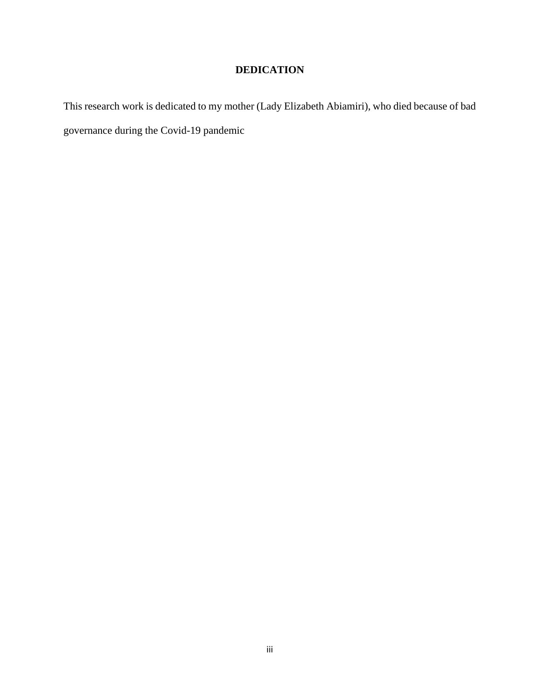## **DEDICATION**

This research work is dedicated to my mother (Lady Elizabeth Abiamiri), who died because of bad governance during the Covid-19 pandemic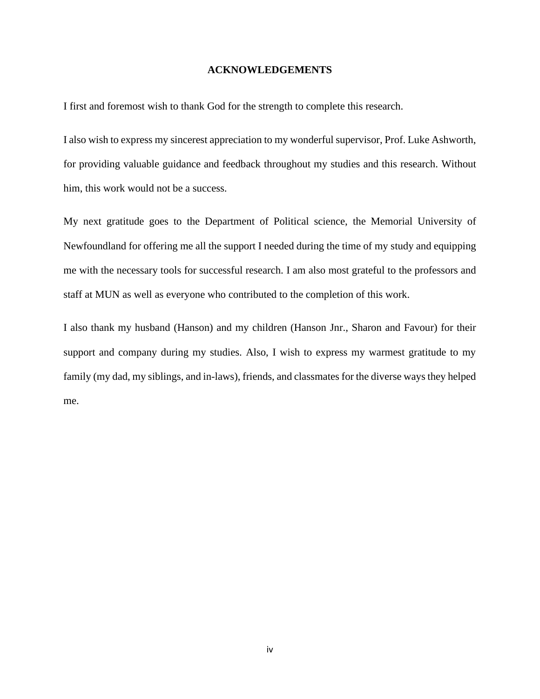### **ACKNOWLEDGEMENTS**

I first and foremost wish to thank God for the strength to complete this research.

I also wish to express my sincerest appreciation to my wonderful supervisor, Prof. Luke Ashworth, for providing valuable guidance and feedback throughout my studies and this research. Without him, this work would not be a success.

My next gratitude goes to the Department of Political science, the Memorial University of Newfoundland for offering me all the support I needed during the time of my study and equipping me with the necessary tools for successful research. I am also most grateful to the professors and staff at MUN as well as everyone who contributed to the completion of this work.

I also thank my husband (Hanson) and my children (Hanson Jnr., Sharon and Favour) for their support and company during my studies. Also, I wish to express my warmest gratitude to my family (my dad, my siblings, and in-laws), friends, and classmates for the diverse ways they helped me.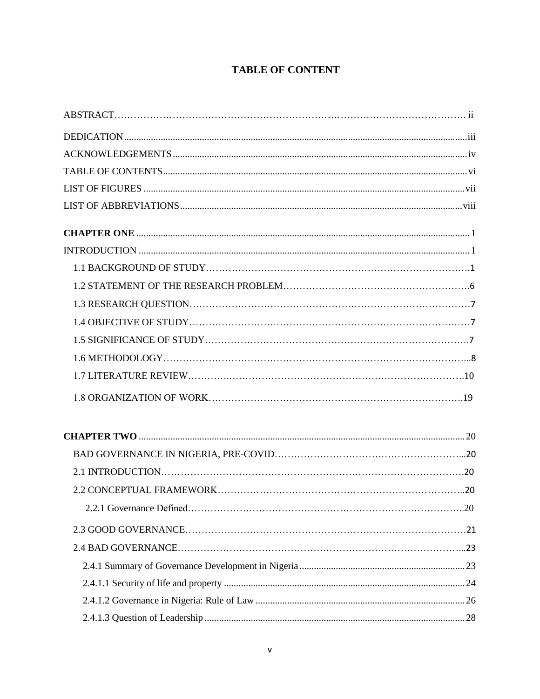## **TABLE OF CONTENT**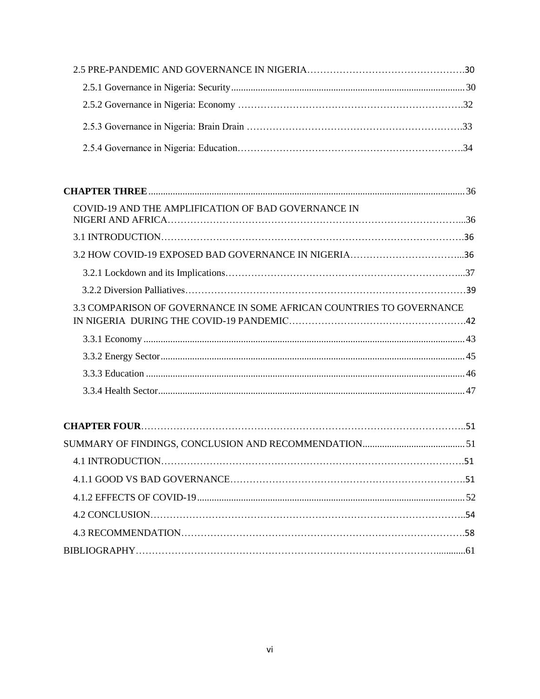| COVID-19 AND THE AMPLIFICATION OF BAD GOVERNANCE IN                  |  |
|----------------------------------------------------------------------|--|
|                                                                      |  |
|                                                                      |  |
|                                                                      |  |
|                                                                      |  |
| 3.3 COMPARISON OF GOVERNANCE IN SOME AFRICAN COUNTRIES TO GOVERNANCE |  |
|                                                                      |  |
|                                                                      |  |
|                                                                      |  |
|                                                                      |  |
|                                                                      |  |
|                                                                      |  |
|                                                                      |  |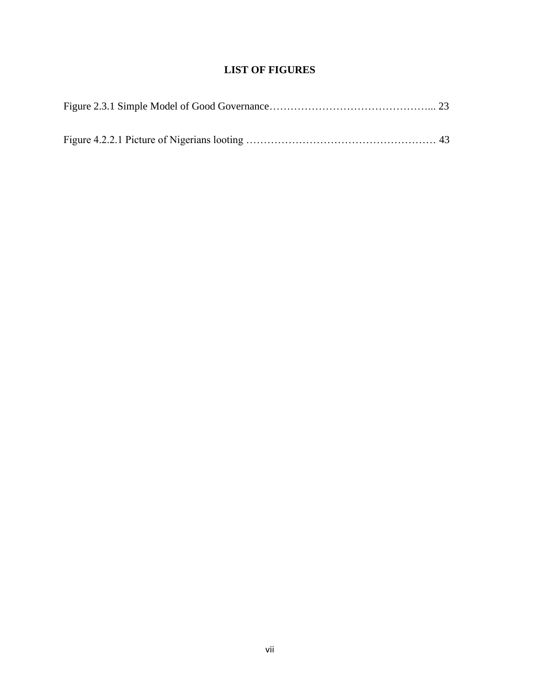## **LIST OF FIGURES**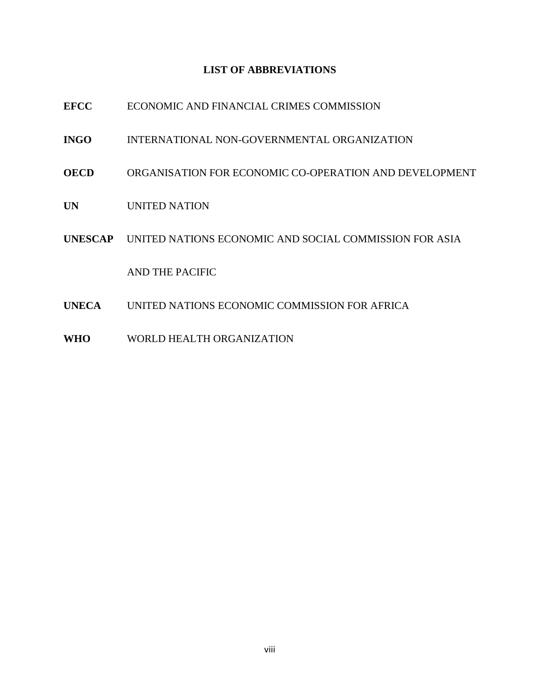## **LIST OF ABBREVIATIONS**

| <b>EFCC</b>  | ECONOMIC AND FINANCIAL CRIMES COMMISSION                       |
|--------------|----------------------------------------------------------------|
| <b>INGO</b>  | INTERNATIONAL NON-GOVERNMENTAL ORGANIZATION                    |
| OECD         | ORGANISATION FOR ECONOMIC CO-OPERATION AND DEVELOPMENT         |
| <b>UN</b>    | UNITED NATION                                                  |
|              | UNESCAP UNITED NATIONS ECONOMIC AND SOCIAL COMMISSION FOR ASIA |
|              | AND THE PACIFIC                                                |
| <b>UNECA</b> | UNITED NATIONS ECONOMIC COMMISSION FOR AFRICA                  |
|              |                                                                |

**WHO** WORLD HEALTH ORGANIZATION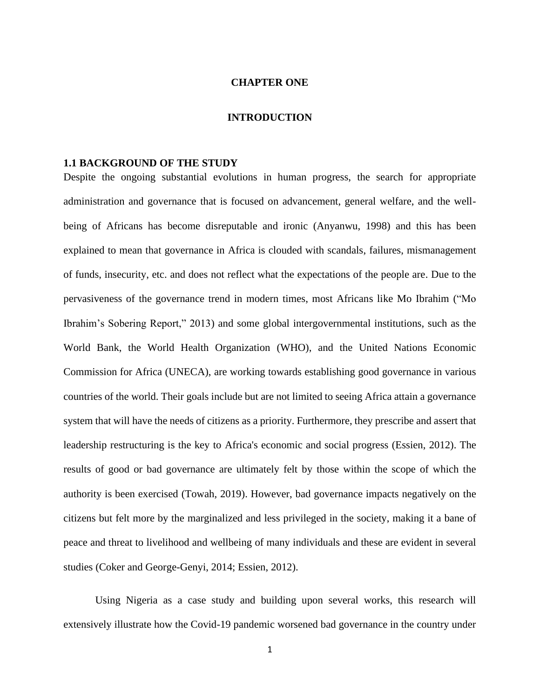## **CHAPTER ONE**

### **INTRODUCTION**

#### **1.1 BACKGROUND OF THE STUDY**

Despite the ongoing substantial evolutions in human progress, the search for appropriate administration and governance that is focused on advancement, general welfare, and the wellbeing of Africans has become disreputable and ironic (Anyanwu, 1998) and this has been explained to mean that governance in Africa is clouded with scandals, failures, mismanagement of funds, insecurity, etc. and does not reflect what the expectations of the people are. Due to the pervasiveness of the governance trend in modern times, most Africans like Mo Ibrahim ("Mo Ibrahim's Sobering Report," 2013) and some global intergovernmental institutions, such as the World Bank, the World Health Organization (WHO), and the United Nations Economic Commission for Africa (UNECA), are working towards establishing good governance in various countries of the world. Their goals include but are not limited to seeing Africa attain a governance system that will have the needs of citizens as a priority. Furthermore, they prescribe and assert that leadership restructuring is the key to Africa's economic and social progress (Essien, 2012). The results of good or bad governance are ultimately felt by those within the scope of which the authority is been exercised (Towah, 2019). However, bad governance impacts negatively on the citizens but felt more by the marginalized and less privileged in the society, making it a bane of peace and threat to livelihood and wellbeing of many individuals and these are evident in several studies (Coker and George-Genyi, 2014; Essien, 2012).

Using Nigeria as a case study and building upon several works, this research will extensively illustrate how the Covid-19 pandemic worsened bad governance in the country under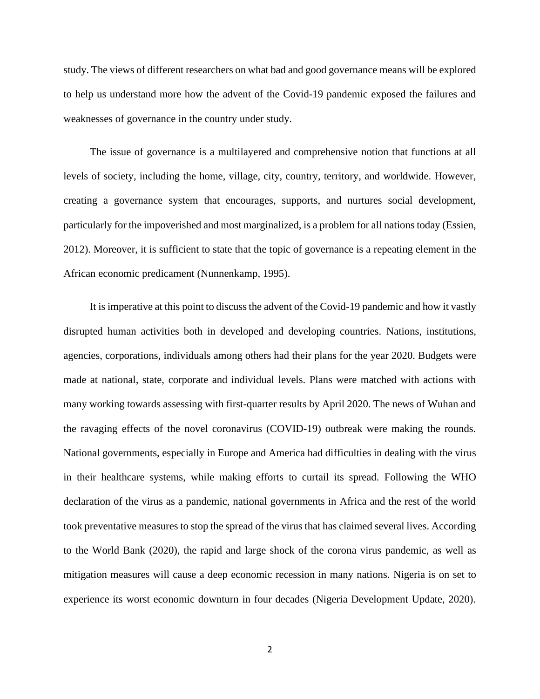study. The views of different researchers on what bad and good governance means will be explored to help us understand more how the advent of the Covid-19 pandemic exposed the failures and weaknesses of governance in the country under study.

 The issue of governance is a multilayered and comprehensive notion that functions at all levels of society, including the home, village, city, country, territory, and worldwide. However, creating a governance system that encourages, supports, and nurtures social development, particularly for the impoverished and most marginalized, is a problem for all nations today (Essien, 2012). Moreover, it is sufficient to state that the topic of governance is a repeating element in the African economic predicament (Nunnenkamp, 1995).

 It is imperative at this point to discuss the advent of the Covid-19 pandemic and how it vastly disrupted human activities both in developed and developing countries. Nations, institutions, agencies, corporations, individuals among others had their plans for the year 2020. Budgets were made at national, state, corporate and individual levels. Plans were matched with actions with many working towards assessing with first-quarter results by April 2020. The news of Wuhan and the ravaging effects of the novel coronavirus (COVID-19) outbreak were making the rounds. National governments, especially in Europe and America had difficulties in dealing with the virus in their healthcare systems, while making efforts to curtail its spread. Following the WHO declaration of the virus as a pandemic, national governments in Africa and the rest of the world took preventative measures to stop the spread of the virus that has claimed several lives. According to the World Bank (2020), the rapid and large shock of the corona virus pandemic, as well as mitigation measures will cause a deep economic recession in many nations. Nigeria is on set to experience its worst economic downturn in four decades (Nigeria Development Update, 2020).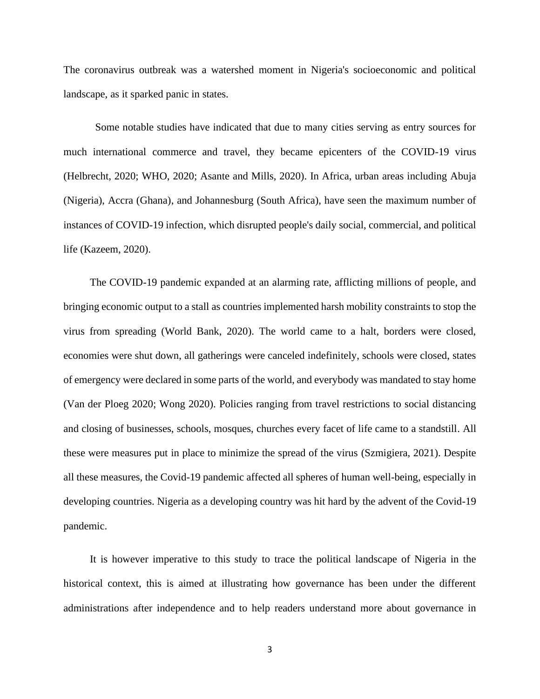The coronavirus outbreak was a watershed moment in Nigeria's socioeconomic and political landscape, as it sparked panic in states.

Some notable studies have indicated that due to many cities serving as entry sources for much international commerce and travel, they became epicenters of the COVID-19 virus (Helbrecht, 2020; WHO, 2020; Asante and Mills, 2020). In Africa, urban areas including Abuja (Nigeria), Accra (Ghana), and Johannesburg (South Africa), have seen the maximum number of instances of COVID-19 infection, which disrupted people's daily social, commercial, and political life (Kazeem, 2020).

 The COVID-19 pandemic expanded at an alarming rate, afflicting millions of people, and bringing economic output to a stall as countries implemented harsh mobility constraints to stop the virus from spreading (World Bank, 2020). The world came to a halt, borders were closed, economies were shut down, all gatherings were canceled indefinitely, schools were closed, states of emergency were declared in some parts of the world, and everybody was mandated to stay home (Van der Ploeg 2020; Wong 2020). Policies ranging from travel restrictions to social distancing and closing of businesses, schools, mosques, churches every facet of life came to a standstill. All these were measures put in place to minimize the spread of the virus [\(Szmigiera,](https://www.statista.com/aboutus/our-research-commitment) 2021). Despite all these measures, the Covid-19 pandemic affected all spheres of human well-being, especially in developing countries. Nigeria as a developing country was hit hard by the advent of the Covid-19 pandemic.

 It is however imperative to this study to trace the political landscape of Nigeria in the historical context, this is aimed at illustrating how governance has been under the different administrations after independence and to help readers understand more about governance in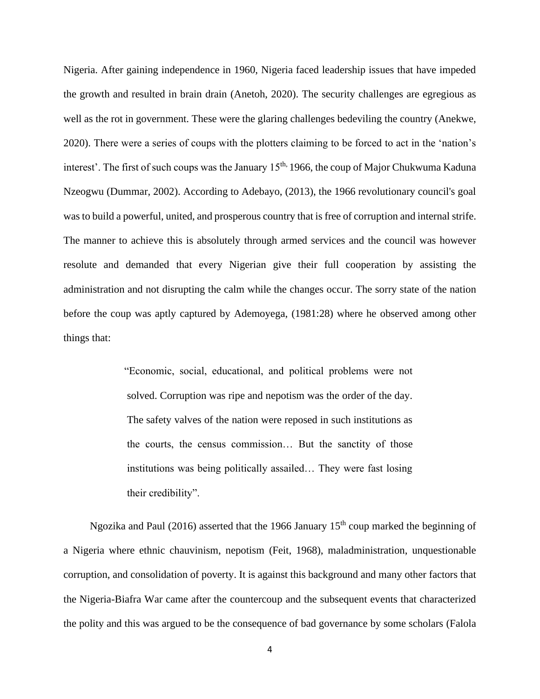Nigeria. After gaining independence in 1960, Nigeria faced leadership issues that have impeded the growth and resulted in brain drain (Anetoh, 2020). The security challenges are egregious as well as the rot in government. These were the glaring challenges bedeviling the country (Anekwe, 2020). There were a series of coups with the plotters claiming to be forced to act in the 'nation's interest'. The first of such coups was the January 15<sup>th,</sup> 1966, the coup of Major Chukwuma Kaduna Nzeogwu (Dummar, 2002). According to Adebayo, (2013), the 1966 revolutionary council's goal was to build a powerful, united, and prosperous country that is free of corruption and internal strife. The manner to achieve this is absolutely through armed services and the council was however resolute and demanded that every Nigerian give their full cooperation by assisting the administration and not disrupting the calm while the changes occur. The sorry state of the nation before the coup was aptly captured by Ademoyega, (1981:28) where he observed among other things that:

> "Economic, social, educational, and political problems were not solved. Corruption was ripe and nepotism was the order of the day. The safety valves of the nation were reposed in such institutions as the courts, the census commission… But the sanctity of those institutions was being politically assailed… They were fast losing their credibility".

Ngozika and Paul (2016) asserted that the 1966 January  $15<sup>th</sup>$  coup marked the beginning of a Nigeria where ethnic chauvinism, nepotism (Feit, 1968), maladministration, unquestionable corruption, and consolidation of poverty. It is against this background and many other factors that the Nigeria-Biafra War came after the countercoup and the subsequent events that characterized the polity and this was argued to be the consequence of bad governance by some scholars (Falola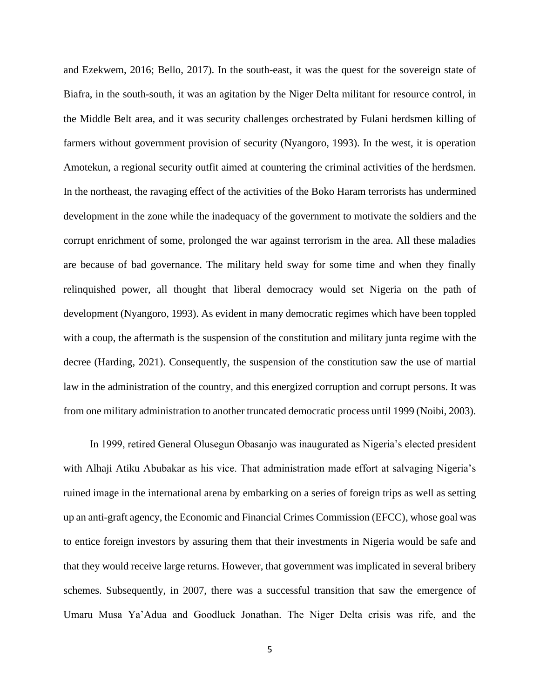and Ezekwem, 2016; Bello, 2017). In the south-east, it was the quest for the sovereign state of Biafra, in the south-south, it was an agitation by the Niger Delta militant for resource control, in the Middle Belt area, and it was security challenges orchestrated by Fulani herdsmen killing of farmers without government provision of security (Nyangoro, 1993). In the west, it is operation Amotekun, a regional security outfit aimed at countering the criminal activities of the herdsmen. In the northeast, the ravaging effect of the activities of the Boko Haram terrorists has undermined development in the zone while the inadequacy of the government to motivate the soldiers and the corrupt enrichment of some, prolonged the war against terrorism in the area. All these maladies are because of bad governance. The military held sway for some time and when they finally relinquished power, all thought that liberal democracy would set Nigeria on the path of development (Nyangoro, 1993). As evident in many democratic regimes which have been toppled with a coup, the aftermath is the suspension of the constitution and military junta regime with the decree (Harding, 2021). Consequently, the suspension of the constitution saw the use of martial law in the administration of the country, and this energized corruption and corrupt persons. It was from one military administration to another truncated democratic process until 1999 (Noibi, 2003).

 In 1999, retired General Olusegun Obasanjo was inaugurated as Nigeria's elected president with Alhaji Atiku Abubakar as his vice. That administration made effort at salvaging Nigeria's ruined image in the international arena by embarking on a series of foreign trips as well as setting up an anti-graft agency, the Economic and Financial Crimes Commission (EFCC), whose goal was to entice foreign investors by assuring them that their investments in Nigeria would be safe and that they would receive large returns. However, that government was implicated in several bribery schemes. Subsequently, in 2007, there was a successful transition that saw the emergence of Umaru Musa Ya'Adua and Goodluck Jonathan. The Niger Delta crisis was rife, and the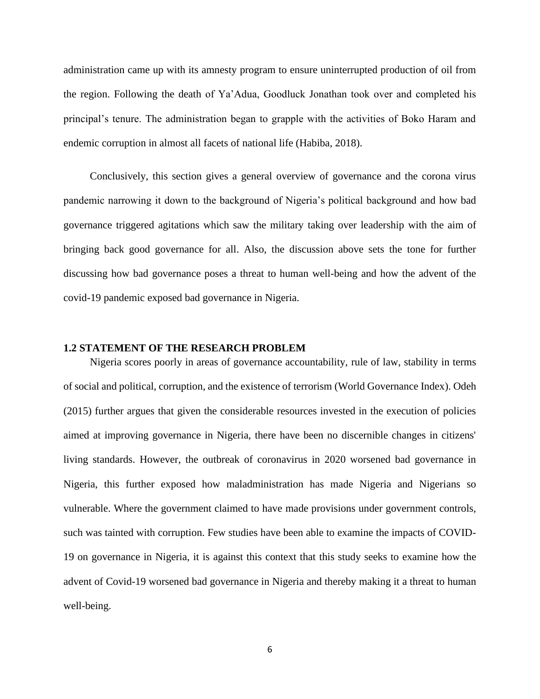administration came up with its amnesty program to ensure uninterrupted production of oil from the region. Following the death of Ya'Adua, Goodluck Jonathan took over and completed his principal's tenure. The administration began to grapple with the activities of Boko Haram and endemic corruption in almost all facets of national life (Habiba, 2018).

 Conclusively, this section gives a general overview of governance and the corona virus pandemic narrowing it down to the background of Nigeria's political background and how bad governance triggered agitations which saw the military taking over leadership with the aim of bringing back good governance for all. Also, the discussion above sets the tone for further discussing how bad governance poses a threat to human well-being and how the advent of the covid-19 pandemic exposed bad governance in Nigeria.

### **1.2 STATEMENT OF THE RESEARCH PROBLEM**

 Nigeria scores poorly in areas of governance accountability, rule of law, stability in terms of social and political, corruption, and the existence of terrorism (World Governance Index). Odeh (2015) further argues that given the considerable resources invested in the execution of policies aimed at improving governance in Nigeria, there have been no discernible changes in citizens' living standards. However, the outbreak of coronavirus in 2020 worsened bad governance in Nigeria, this further exposed how maladministration has made Nigeria and Nigerians so vulnerable. Where the government claimed to have made provisions under government controls, such was tainted with corruption. Few studies have been able to examine the impacts of COVID-19 on governance in Nigeria, it is against this context that this study seeks to examine how the advent of Covid-19 worsened bad governance in Nigeria and thereby making it a threat to human well-being.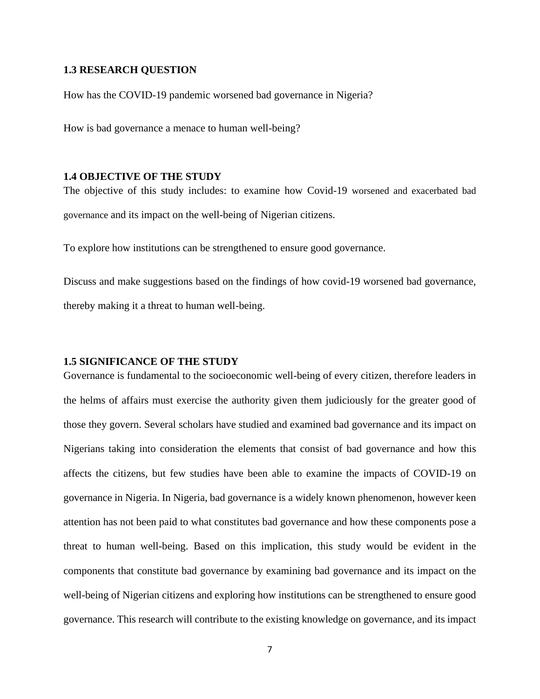### **1.3 RESEARCH QUESTION**

How has the COVID-19 pandemic worsened bad governance in Nigeria?

How is bad governance a menace to human well-being?

## **1.4 OBJECTIVE OF THE STUDY**

The objective of this study includes: to examine how Covid-19 worsened and exacerbated bad governance and its impact on the well-being of Nigerian citizens.

To explore how institutions can be strengthened to ensure good governance.

Discuss and make suggestions based on the findings of how covid-19 worsened bad governance, thereby making it a threat to human well-being.

## **1.5 SIGNIFICANCE OF THE STUDY**

Governance is fundamental to the socioeconomic well-being of every citizen, therefore leaders in the helms of affairs must exercise the authority given them judiciously for the greater good of those they govern. Several scholars have studied and examined bad governance and its impact on Nigerians taking into consideration the elements that consist of bad governance and how this affects the citizens, but few studies have been able to examine the impacts of COVID-19 on governance in Nigeria. In Nigeria, bad governance is a widely known phenomenon, however keen attention has not been paid to what constitutes bad governance and how these components pose a threat to human well-being. Based on this implication, this study would be evident in the components that constitute bad governance by examining bad governance and its impact on the well-being of Nigerian citizens and exploring how institutions can be strengthened to ensure good governance. This research will contribute to the existing knowledge on governance, and its impact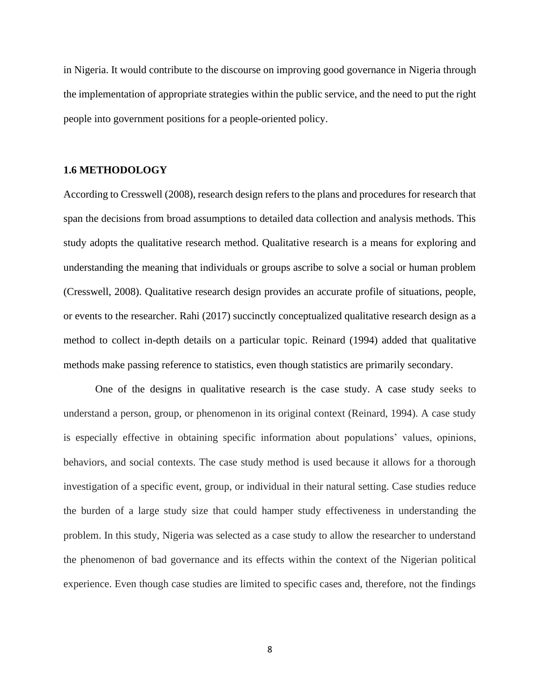in Nigeria. It would contribute to the discourse on improving good governance in Nigeria through the implementation of appropriate strategies within the public service, and the need to put the right people into government positions for a people-oriented policy.

## **1.6 METHODOLOGY**

According to Cresswell (2008), research design refers to the plans and procedures for research that span the decisions from broad assumptions to detailed data collection and analysis methods. This study adopts the qualitative research method. Qualitative research is a means for exploring and understanding the meaning that individuals or groups ascribe to solve a social or human problem (Cresswell, 2008). Qualitative research design provides an accurate profile of situations, people, or events to the researcher. Rahi (2017) succinctly conceptualized qualitative research design as a method to collect in-depth details on a particular topic. Reinard (1994) added that qualitative methods make passing reference to statistics, even though statistics are primarily secondary.

One of the designs in qualitative research is the case study. A case study seeks to understand a person, group, or phenomenon in its original context (Reinard, 1994). A case study is especially effective in obtaining specific information about populations' values, opinions, behaviors, and social contexts. The case study method is used because it allows for a thorough investigation of a specific event, group, or individual in their natural setting. Case studies reduce the burden of a large study size that could hamper study effectiveness in understanding the problem. In this study, Nigeria was selected as a case study to allow the researcher to understand the phenomenon of bad governance and its effects within the context of the Nigerian political experience. Even though case studies are limited to specific cases and, therefore, not the findings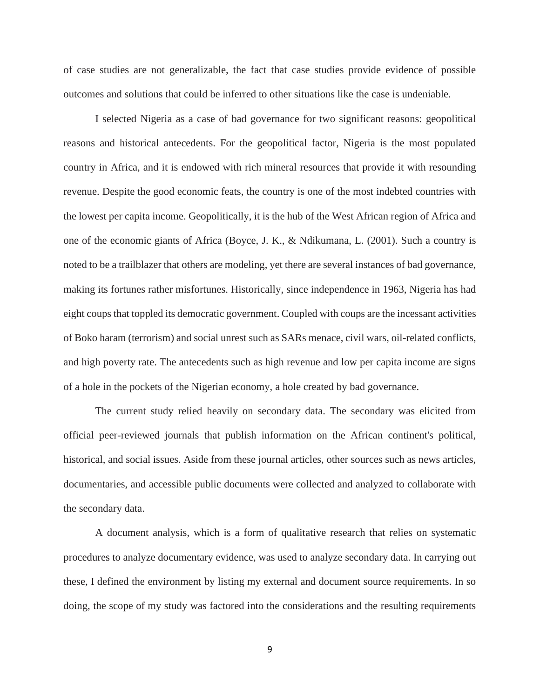of case studies are not generalizable, the fact that case studies provide evidence of possible outcomes and solutions that could be inferred to other situations like the case is undeniable.

I selected Nigeria as a case of bad governance for two significant reasons: geopolitical reasons and historical antecedents. For the geopolitical factor, Nigeria is the most populated country in Africa, and it is endowed with rich mineral resources that provide it with resounding revenue. Despite the good economic feats, the country is one of the most indebted countries with the lowest per capita income. Geopolitically, it is the hub of the West African region of Africa and one of the economic giants of Africa (Boyce, J. K., & Ndikumana, L. (2001). Such a country is noted to be a trailblazer that others are modeling, yet there are several instances of bad governance, making its fortunes rather misfortunes. Historically, since independence in 1963, Nigeria has had eight coups that toppled its democratic government. Coupled with coups are the incessant activities of Boko haram (terrorism) and social unrest such as SARs menace, civil wars, oil-related conflicts, and high poverty rate. The antecedents such as high revenue and low per capita income are signs of a hole in the pockets of the Nigerian economy, a hole created by bad governance.

The current study relied heavily on secondary data. The secondary was elicited from official peer-reviewed journals that publish information on the African continent's political, historical, and social issues. Aside from these journal articles, other sources such as news articles, documentaries, and accessible public documents were collected and analyzed to collaborate with the secondary data.

A document analysis, which is a form of qualitative research that relies on systematic procedures to analyze documentary evidence, was used to analyze secondary data. In carrying out these, I defined the environment by listing my external and document source requirements. In so doing, the scope of my study was factored into the considerations and the resulting requirements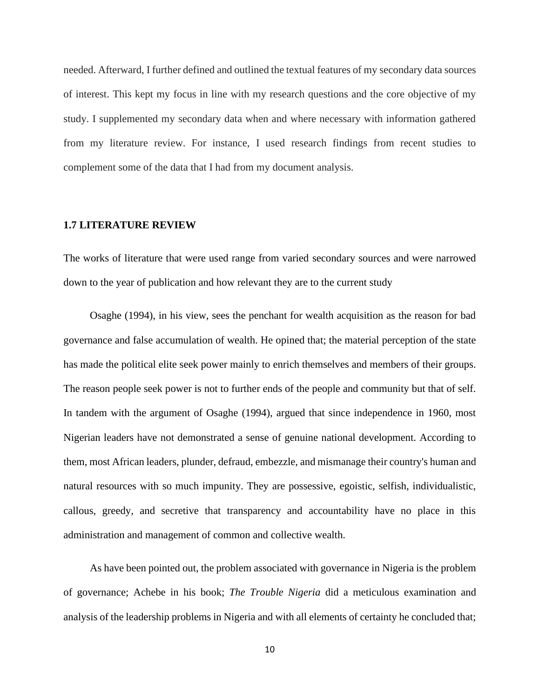needed. Afterward, I further defined and outlined the textual features of my secondary data sources of interest. This kept my focus in line with my research questions and the core objective of my study. I supplemented my secondary data when and where necessary with information gathered from my literature review. For instance, I used research findings from recent studies to complement some of the data that I had from my document analysis.

### **1.7 LITERATURE REVIEW**

The works of literature that were used range from varied secondary sources and were narrowed down to the year of publication and how relevant they are to the current study

 Osaghe (1994), in his view, sees the penchant for wealth acquisition as the reason for bad governance and false accumulation of wealth. He opined that; the material perception of the state has made the political elite seek power mainly to enrich themselves and members of their groups. The reason people seek power is not to further ends of the people and community but that of self. In tandem with the argument of Osaghe (1994), argued that since independence in 1960, most Nigerian leaders have not demonstrated a sense of genuine national development. According to them, most African leaders, plunder, defraud, embezzle, and mismanage their country's human and natural resources with so much impunity. They are possessive, egoistic, selfish, individualistic, callous, greedy, and secretive that transparency and accountability have no place in this administration and management of common and collective wealth.

 As have been pointed out, the problem associated with governance in Nigeria is the problem of governance; Achebe in his book; *The Trouble Nigeria* did a meticulous examination and analysis of the leadership problems in Nigeria and with all elements of certainty he concluded that;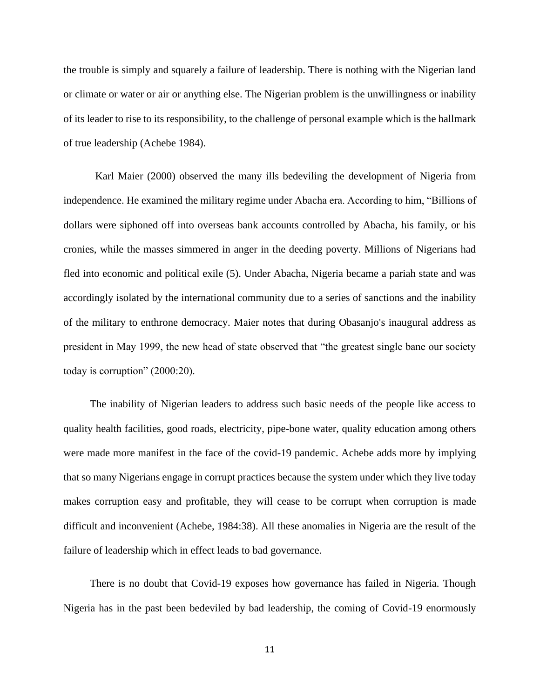the trouble is simply and squarely a failure of leadership. There is nothing with the Nigerian land or climate or water or air or anything else. The Nigerian problem is the unwillingness or inability of its leader to rise to its responsibility, to the challenge of personal example which is the hallmark of true leadership (Achebe 1984).

 Karl Maier (2000) observed the many ills bedeviling the development of Nigeria from independence. He examined the military regime under Abacha era. According to him, "Billions of dollars were siphoned off into overseas bank accounts controlled by Abacha, his family, or his cronies, while the masses simmered in anger in the deeding poverty. Millions of Nigerians had fled into economic and political exile (5). Under Abacha, Nigeria became a pariah state and was accordingly isolated by the international community due to a series of sanctions and the inability of the military to enthrone democracy. Maier notes that during Obasanjo's inaugural address as president in May 1999, the new head of state observed that "the greatest single bane our society today is corruption" (2000:20).

 The inability of Nigerian leaders to address such basic needs of the people like access to quality health facilities, good roads, electricity, pipe-bone water, quality education among others were made more manifest in the face of the covid-19 pandemic. Achebe adds more by implying that so many Nigerians engage in corrupt practices because the system under which they live today makes corruption easy and profitable, they will cease to be corrupt when corruption is made difficult and inconvenient (Achebe, 1984:38). All these anomalies in Nigeria are the result of the failure of leadership which in effect leads to bad governance.

 There is no doubt that Covid-19 exposes how governance has failed in Nigeria. Though Nigeria has in the past been bedeviled by bad leadership, the coming of Covid-19 enormously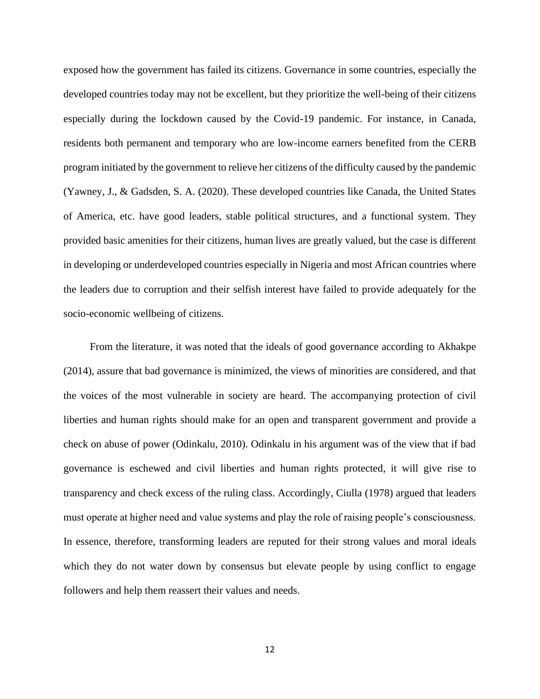exposed how the government has failed its citizens. Governance in some countries, especially the developed countries today may not be excellent, but they prioritize the well-being of their citizens especially during the lockdown caused by the Covid-19 pandemic. For instance, in Canada, residents both permanent and temporary who are low-income earners benefited from the CERB program initiated by the government to relieve her citizens of the difficulty caused by the pandemic (Yawney, J., & Gadsden, S. A. (2020). These developed countries like Canada, the United States of America, etc. have good leaders, stable political structures, and a functional system. They provided basic amenities for their citizens, human lives are greatly valued, but the case is different in developing or underdeveloped countries especially in Nigeria and most African countries where the leaders due to corruption and their selfish interest have failed to provide adequately for the socio-economic wellbeing of citizens.

 From the literature, it was noted that the ideals of good governance according to Akhakpe (2014), assure that bad governance is minimized, the views of minorities are considered, and that the voices of the most vulnerable in society are heard. The accompanying protection of civil liberties and human rights should make for an open and transparent government and provide a check on abuse of power (Odinkalu, 2010). Odinkalu in his argument was of the view that if bad governance is eschewed and civil liberties and human rights protected, it will give rise to transparency and check excess of the ruling class. Accordingly, Ciulla (1978) argued that leaders must operate at higher need and value systems and play the role of raising people's consciousness. In essence, therefore, transforming leaders are reputed for their strong values and moral ideals which they do not water down by consensus but elevate people by using conflict to engage followers and help them reassert their values and needs.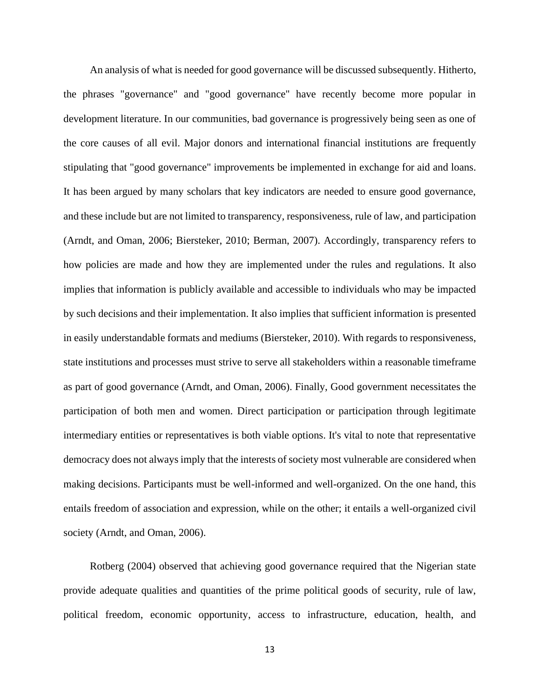An analysis of what is needed for good governance will be discussed subsequently. Hitherto, the phrases "governance" and "good governance" have recently become more popular in development literature. In our communities, bad governance is progressively being seen as one of the core causes of all evil. Major donors and international financial institutions are frequently stipulating that "good governance" improvements be implemented in exchange for aid and loans. It has been argued by many scholars that key indicators are needed to ensure good governance, and these include but are not limited to transparency, responsiveness, rule of law, and participation (Arndt, and Oman, 2006; Biersteker, 2010; Berman, 2007). Accordingly, transparency refers to how policies are made and how they are implemented under the rules and regulations. It also implies that information is publicly available and accessible to individuals who may be impacted by such decisions and their implementation. It also implies that sufficient information is presented in easily understandable formats and mediums (Biersteker, 2010). With regards to responsiveness, state institutions and processes must strive to serve all stakeholders within a reasonable timeframe as part of good governance (Arndt, and Oman, 2006). Finally, Good government necessitates the participation of both men and women. Direct participation or participation through legitimate intermediary entities or representatives is both viable options. It's vital to note that representative democracy does not always imply that the interests of society most vulnerable are considered when making decisions. Participants must be well-informed and well-organized. On the one hand, this entails freedom of association and expression, while on the other; it entails a well-organized civil society (Arndt, and Oman, 2006).

 Rotberg (2004) observed that achieving good governance required that the Nigerian state provide adequate qualities and quantities of the prime political goods of security, rule of law, political freedom, economic opportunity, access to infrastructure, education, health, and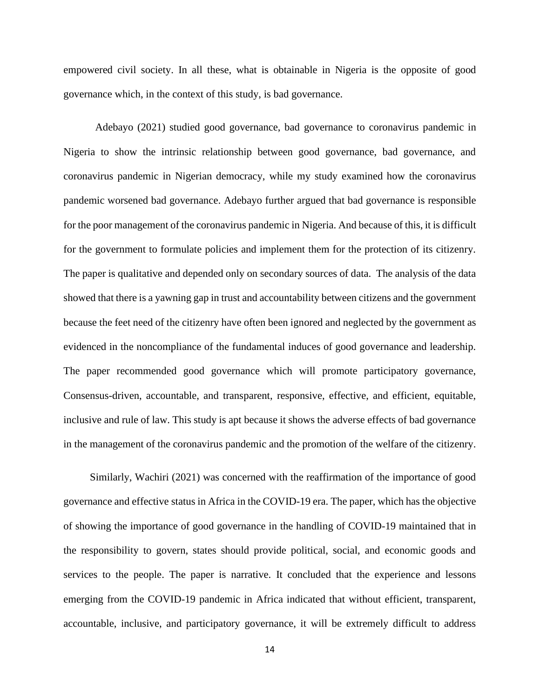empowered civil society. In all these, what is obtainable in Nigeria is the opposite of good governance which, in the context of this study, is bad governance.

Adebayo (2021) studied good governance, bad governance to coronavirus pandemic in Nigeria to show the intrinsic relationship between good governance, bad governance, and coronavirus pandemic in Nigerian democracy, while my study examined how the coronavirus pandemic worsened bad governance. Adebayo further argued that bad governance is responsible for the poor management of the coronavirus pandemic in Nigeria. And because of this, it is difficult for the government to formulate policies and implement them for the protection of its citizenry. The paper is qualitative and depended only on secondary sources of data. The analysis of the data showed that there is a yawning gap in trust and accountability between citizens and the government because the feet need of the citizenry have often been ignored and neglected by the government as evidenced in the noncompliance of the fundamental induces of good governance and leadership. The paper recommended good governance which will promote participatory governance, Consensus-driven, accountable, and transparent, responsive, effective, and efficient, equitable, inclusive and rule of law. This study is apt because it shows the adverse effects of bad governance in the management of the coronavirus pandemic and the promotion of the welfare of the citizenry.

 Similarly, Wachiri (2021) was concerned with the reaffirmation of the importance of good governance and effective status in Africa in the COVID-19 era. The paper, which has the objective of showing the importance of good governance in the handling of COVID-19 maintained that in the responsibility to govern, states should provide political, social, and economic goods and services to the people. The paper is narrative. It concluded that the experience and lessons emerging from the COVID-19 pandemic in Africa indicated that without efficient, transparent, accountable, inclusive, and participatory governance, it will be extremely difficult to address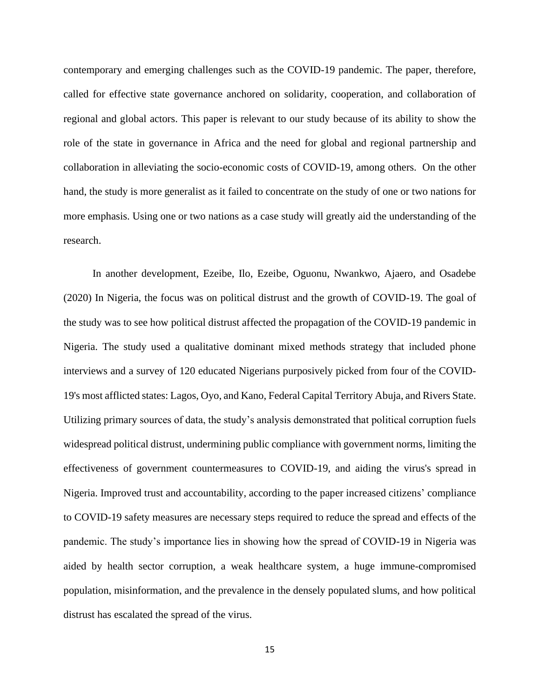contemporary and emerging challenges such as the COVID-19 pandemic. The paper, therefore, called for effective state governance anchored on solidarity, cooperation, and collaboration of regional and global actors. This paper is relevant to our study because of its ability to show the role of the state in governance in Africa and the need for global and regional partnership and collaboration in alleviating the socio-economic costs of COVID-19, among others. On the other hand, the study is more generalist as it failed to concentrate on the study of one or two nations for more emphasis. Using one or two nations as a case study will greatly aid the understanding of the research.

 In another development, Ezeibe, Ilo, Ezeibe, Oguonu, Nwankwo, Ajaero, and Osadebe (2020) In Nigeria, the focus was on political distrust and the growth of COVID-19. The goal of the study was to see how political distrust affected the propagation of the COVID-19 pandemic in Nigeria. The study used a qualitative dominant mixed methods strategy that included phone interviews and a survey of 120 educated Nigerians purposively picked from four of the COVID-19's most afflicted states: Lagos, Oyo, and Kano, Federal Capital Territory Abuja, and Rivers State. Utilizing primary sources of data, the study's analysis demonstrated that political corruption fuels widespread political distrust, undermining public compliance with government norms, limiting the effectiveness of government countermeasures to COVID-19, and aiding the virus's spread in Nigeria. Improved trust and accountability, according to the paper increased citizens' compliance to COVID-19 safety measures are necessary steps required to reduce the spread and effects of the pandemic. The study's importance lies in showing how the spread of COVID-19 in Nigeria was aided by health sector corruption, a weak healthcare system, a huge immune-compromised population, misinformation, and the prevalence in the densely populated slums, and how political distrust has escalated the spread of the virus.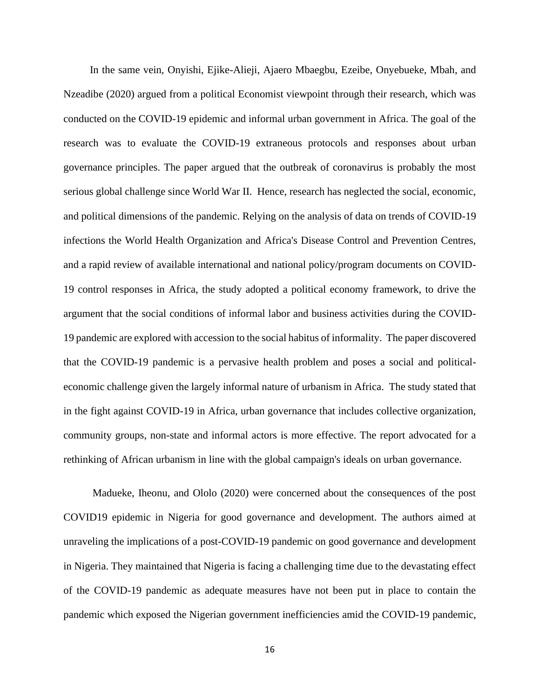In the same vein, Onyishi, Ejike-Alieji, Ajaero Mbaegbu, Ezeibe, Onyebueke, Mbah, and Nzeadibe (2020) argued from a political Economist viewpoint through their research, which was conducted on the COVID-19 epidemic and informal urban government in Africa. The goal of the research was to evaluate the COVID-19 extraneous protocols and responses about urban governance principles. The paper argued that the outbreak of coronavirus is probably the most serious global challenge since World War II. Hence, research has neglected the social, economic, and political dimensions of the pandemic. Relying on the analysis of data on trends of COVID-19 infections the World Health Organization and Africa's Disease Control and Prevention Centres, and a rapid review of available international and national policy/program documents on COVID-19 control responses in Africa, the study adopted a political economy framework, to drive the argument that the social conditions of informal labor and business activities during the COVID-19 pandemic are explored with accession to the social habitus of informality. The paper discovered that the COVID-19 pandemic is a pervasive health problem and poses a social and politicaleconomic challenge given the largely informal nature of urbanism in Africa. The study stated that in the fight against COVID-19 in Africa, urban governance that includes collective organization, community groups, non-state and informal actors is more effective. The report advocated for a rethinking of African urbanism in line with the global campaign's ideals on urban governance.

 Madueke, Iheonu, and Ololo (2020) were concerned about the consequences of the post COVID19 epidemic in Nigeria for good governance and development. The authors aimed at unraveling the implications of a post-COVID-19 pandemic on good governance and development in Nigeria. They maintained that Nigeria is facing a challenging time due to the devastating effect of the COVID-19 pandemic as adequate measures have not been put in place to contain the pandemic which exposed the Nigerian government inefficiencies amid the COVID-19 pandemic,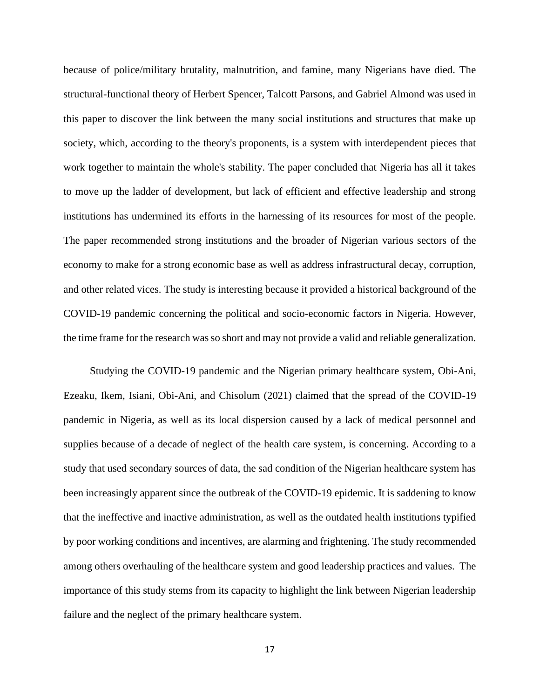because of police/military brutality, malnutrition, and famine, many Nigerians have died. The structural-functional theory of Herbert Spencer, Talcott Parsons, and Gabriel Almond was used in this paper to discover the link between the many social institutions and structures that make up society, which, according to the theory's proponents, is a system with interdependent pieces that work together to maintain the whole's stability. The paper concluded that Nigeria has all it takes to move up the ladder of development, but lack of efficient and effective leadership and strong institutions has undermined its efforts in the harnessing of its resources for most of the people. The paper recommended strong institutions and the broader of Nigerian various sectors of the economy to make for a strong economic base as well as address infrastructural decay, corruption, and other related vices. The study is interesting because it provided a historical background of the COVID-19 pandemic concerning the political and socio-economic factors in Nigeria. However, the time frame for the research was so short and may not provide a valid and reliable generalization.

 Studying the COVID-19 pandemic and the Nigerian primary healthcare system, Obi-Ani, Ezeaku, Ikem, Isiani, Obi-Ani, and Chisolum (2021) claimed that the spread of the COVID-19 pandemic in Nigeria, as well as its local dispersion caused by a lack of medical personnel and supplies because of a decade of neglect of the health care system, is concerning. According to a study that used secondary sources of data, the sad condition of the Nigerian healthcare system has been increasingly apparent since the outbreak of the COVID-19 epidemic. It is saddening to know that the ineffective and inactive administration, as well as the outdated health institutions typified by poor working conditions and incentives, are alarming and frightening. The study recommended among others overhauling of the healthcare system and good leadership practices and values. The importance of this study stems from its capacity to highlight the link between Nigerian leadership failure and the neglect of the primary healthcare system.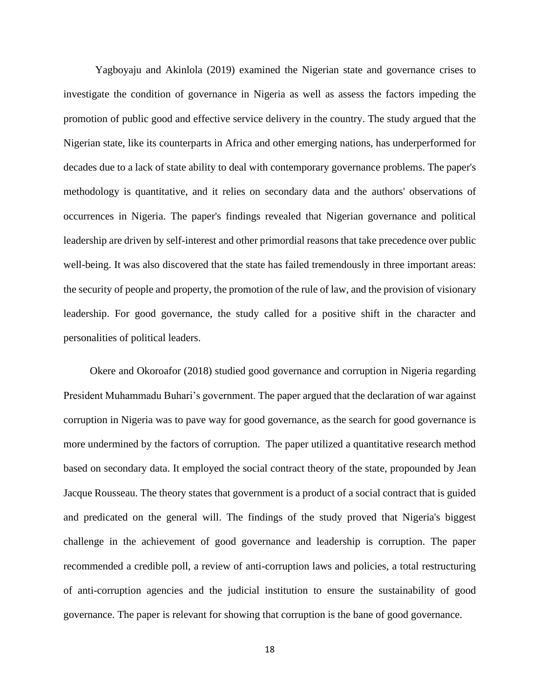Yagboyaju and Akinlola (2019) examined the Nigerian state and governance crises to investigate the condition of governance in Nigeria as well as assess the factors impeding the promotion of public good and effective service delivery in the country. The study argued that the Nigerian state, like its counterparts in Africa and other emerging nations, has underperformed for decades due to a lack of state ability to deal with contemporary governance problems. The paper's methodology is quantitative, and it relies on secondary data and the authors' observations of occurrences in Nigeria. The paper's findings revealed that Nigerian governance and political leadership are driven by self-interest and other primordial reasons that take precedence over public well-being. It was also discovered that the state has failed tremendously in three important areas: the security of people and property, the promotion of the rule of law, and the provision of visionary leadership. For good governance, the study called for a positive shift in the character and personalities of political leaders.

 Okere and Okoroafor (2018) studied good governance and corruption in Nigeria regarding President Muhammadu Buhari's government. The paper argued that the declaration of war against corruption in Nigeria was to pave way for good governance, as the search for good governance is more undermined by the factors of corruption. The paper utilized a quantitative research method based on secondary data. It employed the social contract theory of the state, propounded by Jean Jacque Rousseau. The theory states that government is a product of a social contract that is guided and predicated on the general will. The findings of the study proved that Nigeria's biggest challenge in the achievement of good governance and leadership is corruption. The paper recommended a credible poll, a review of anti-corruption laws and policies, a total restructuring of anti-corruption agencies and the judicial institution to ensure the sustainability of good governance. The paper is relevant for showing that corruption is the bane of good governance.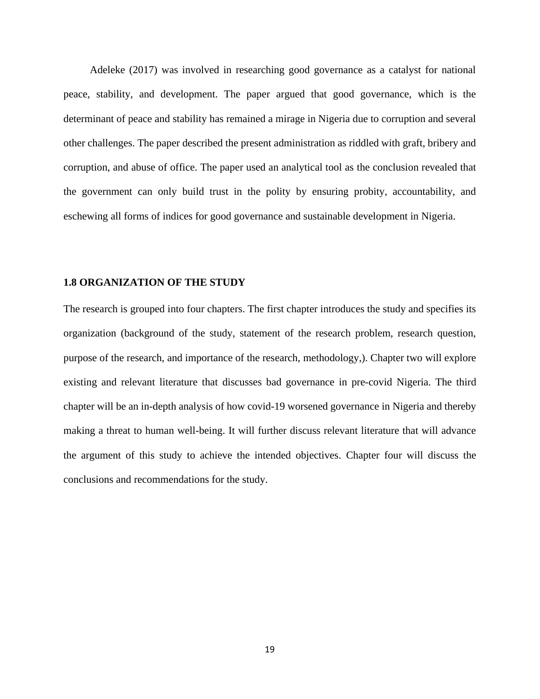Adeleke (2017) was involved in researching good governance as a catalyst for national peace, stability, and development. The paper argued that good governance, which is the determinant of peace and stability has remained a mirage in Nigeria due to corruption and several other challenges. The paper described the present administration as riddled with graft, bribery and corruption, and abuse of office. The paper used an analytical tool as the conclusion revealed that the government can only build trust in the polity by ensuring probity, accountability, and eschewing all forms of indices for good governance and sustainable development in Nigeria.

#### **1.8 ORGANIZATION OF THE STUDY**

The research is grouped into four chapters. The first chapter introduces the study and specifies its organization (background of the study, statement of the research problem, research question, purpose of the research, and importance of the research, methodology,). Chapter two will explore existing and relevant literature that discusses bad governance in pre-covid Nigeria. The third chapter will be an in-depth analysis of how covid-19 worsened governance in Nigeria and thereby making a threat to human well-being. It will further discuss relevant literature that will advance the argument of this study to achieve the intended objectives. Chapter four will discuss the conclusions and recommendations for the study.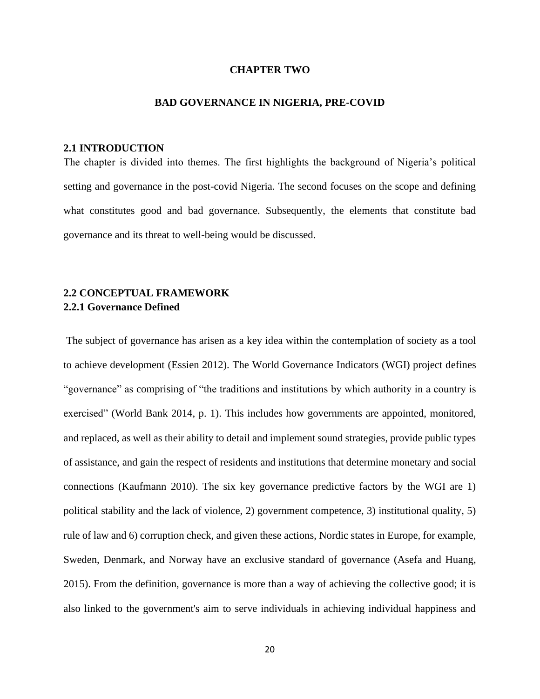### **CHAPTER TWO**

### **BAD GOVERNANCE IN NIGERIA, PRE-COVID**

### **2.1 INTRODUCTION**

The chapter is divided into themes. The first highlights the background of Nigeria's political setting and governance in the post-covid Nigeria. The second focuses on the scope and defining what constitutes good and bad governance. Subsequently, the elements that constitute bad governance and its threat to well-being would be discussed.

## **2.2 CONCEPTUAL FRAMEWORK 2.2.1 Governance Defined**

The subject of governance has arisen as a key idea within the contemplation of society as a tool to achieve development (Essien 2012). The World Governance Indicators (WGI) project defines "governance" as comprising of "the traditions and institutions by which authority in a country is exercised" (World Bank 2014, p. 1). This includes how governments are appointed, monitored, and replaced, as well as their ability to detail and implement sound strategies, provide public types of assistance, and gain the respect of residents and institutions that determine monetary and social connections (Kaufmann 2010). The six key governance predictive factors by the WGI are 1) political stability and the lack of violence, 2) government competence, 3) institutional quality, 5) rule of law and 6) corruption check, and given these actions, Nordic states in Europe, for example, Sweden, Denmark, and Norway have an exclusive standard of governance (Asefa and Huang, 2015). From the definition, governance is more than a way of achieving the collective good; it is also linked to the government's aim to serve individuals in achieving individual happiness and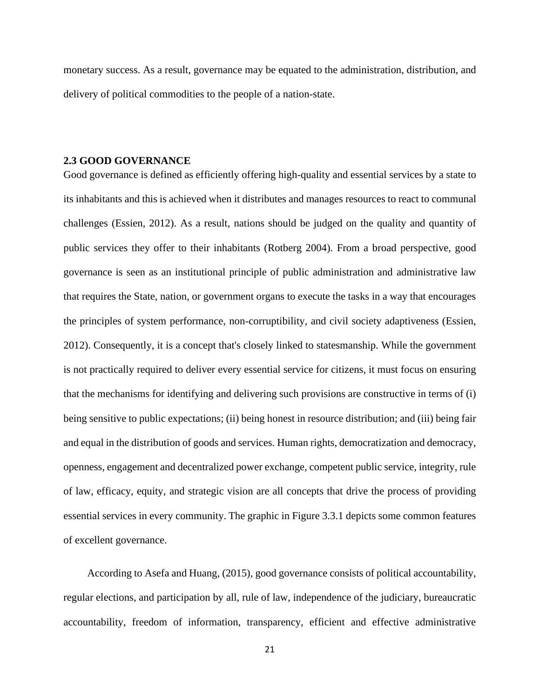monetary success. As a result, governance may be equated to the administration, distribution, and delivery of political commodities to the people of a nation-state.

### **2.3 GOOD GOVERNANCE**

Good governance is defined as efficiently offering high-quality and essential services by a state to its inhabitants and this is achieved when it distributes and manages resources to react to communal challenges (Essien, 2012). As a result, nations should be judged on the quality and quantity of public services they offer to their inhabitants (Rotberg 2004). From a broad perspective, good governance is seen as an institutional principle of public administration and administrative law that requires the State, nation, or government organs to execute the tasks in a way that encourages the principles of system performance, non-corruptibility, and civil society adaptiveness (Essien, 2012). Consequently, it is a concept that's closely linked to statesmanship. While the government is not practically required to deliver every essential service for citizens, it must focus on ensuring that the mechanisms for identifying and delivering such provisions are constructive in terms of (i) being sensitive to public expectations; (ii) being honest in resource distribution; and (iii) being fair and equal in the distribution of goods and services. Human rights, democratization and democracy, openness, engagement and decentralized power exchange, competent public service, integrity, rule of law, efficacy, equity, and strategic vision are all concepts that drive the process of providing essential services in every community. The graphic in Figure 3.3.1 depicts some common features of excellent governance.

 According to Asefa and Huang, (2015), good governance consists of political accountability, regular elections, and participation by all, rule of law, independence of the judiciary, bureaucratic accountability, freedom of information, transparency, efficient and effective administrative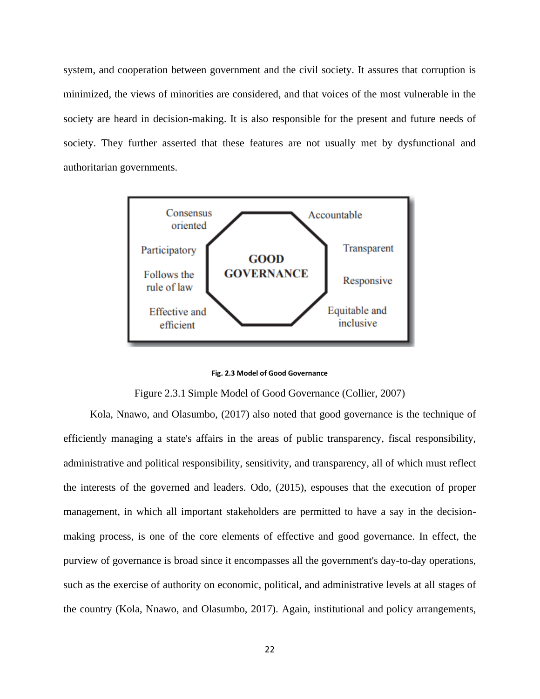system, and cooperation between government and the civil society. It assures that corruption is minimized, the views of minorities are considered, and that voices of the most vulnerable in the society are heard in decision-making. It is also responsible for the present and future needs of society. They further asserted that these features are not usually met by dysfunctional and authoritarian governments.



**Fig. 2.3 Model of Good Governance** 

Figure 2.3.1 Simple Model of Good Governance (Collier, 2007)

 Kola, Nnawo, and Olasumbo, (2017) also noted that good governance is the technique of efficiently managing a state's affairs in the areas of public transparency, fiscal responsibility, administrative and political responsibility, sensitivity, and transparency, all of which must reflect the interests of the governed and leaders. Odo, (2015), espouses that the execution of proper management, in which all important stakeholders are permitted to have a say in the decisionmaking process, is one of the core elements of effective and good governance. In effect, the purview of governance is broad since it encompasses all the government's day-to-day operations, such as the exercise of authority on economic, political, and administrative levels at all stages of the country (Kola, Nnawo, and Olasumbo, 2017). Again, institutional and policy arrangements,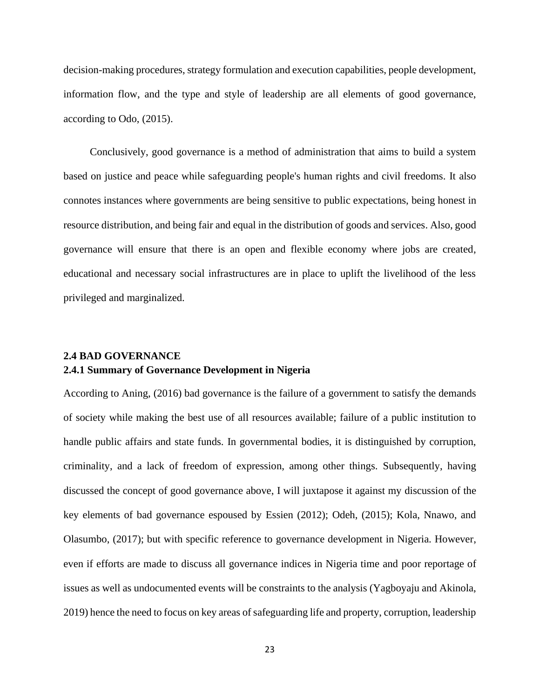decision-making procedures, strategy formulation and execution capabilities, people development, information flow, and the type and style of leadership are all elements of good governance, according to Odo, (2015).

 Conclusively, good governance is a method of administration that aims to build a system based on justice and peace while safeguarding people's human rights and civil freedoms. It also connotes instances where governments are being sensitive to public expectations, being honest in resource distribution, and being fair and equal in the distribution of goods and services. Also, good governance will ensure that there is an open and flexible economy where jobs are created, educational and necessary social infrastructures are in place to uplift the livelihood of the less privileged and marginalized.

## **2.4 BAD GOVERNANCE 2.4.1 Summary of Governance Development in Nigeria**

According to Aning, (2016) bad governance is the failure of a government to satisfy the demands of society while making the best use of all resources available; failure of a public institution to handle public affairs and state funds. In governmental bodies, it is distinguished by corruption, criminality, and a lack of freedom of expression, among other things. Subsequently, having discussed the concept of good governance above, I will juxtapose it against my discussion of the key elements of bad governance espoused by Essien (2012); Odeh, (2015); Kola, Nnawo, and Olasumbo, (2017); but with specific reference to governance development in Nigeria. However, even if efforts are made to discuss all governance indices in Nigeria time and poor reportage of issues as well as undocumented events will be constraints to the analysis (Yagboyaju and Akinola, 2019) hence the need to focus on key areas of safeguarding life and property, corruption, leadership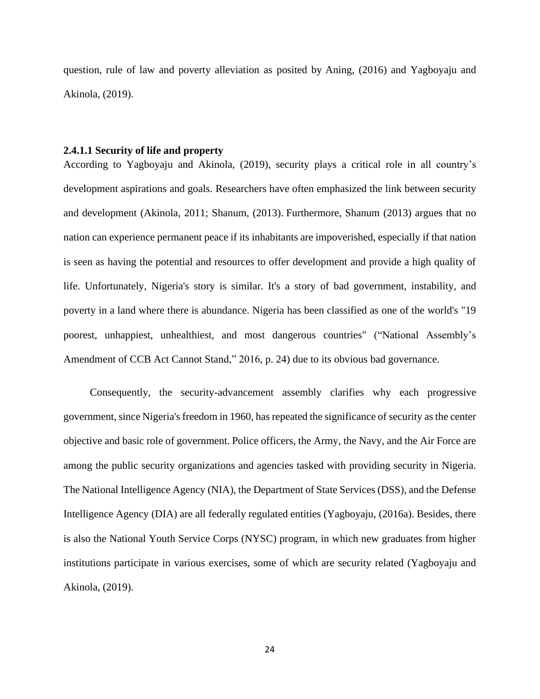question, rule of law and poverty alleviation as posited by Aning, (2016) and Yagboyaju and Akinola, (2019).

### **2.4.1.1 Security of life and property**

According to Yagboyaju and Akinola, (2019), security plays a critical role in all country's development aspirations and goals. Researchers have often emphasized the link between security and development (Akinola, 2011; Shanum, (2013). Furthermore, Shanum (2013) argues that no nation can experience permanent peace if its inhabitants are impoverished, especially if that nation is seen as having the potential and resources to offer development and provide a high quality of life. Unfortunately, Nigeria's story is similar. It's a story of bad government, instability, and poverty in a land where there is abundance. Nigeria has been classified as one of the world's "19 poorest, unhappiest, unhealthiest, and most dangerous countries" ("National Assembly's Amendment of CCB Act Cannot Stand," 2016, p. 24) due to its obvious bad governance.

 Consequently, the security-advancement assembly clarifies why each progressive government, since Nigeria's freedom in 1960, has repeated the significance of security as the center objective and basic role of government. Police officers, the Army, the Navy, and the Air Force are among the public security organizations and agencies tasked with providing security in Nigeria. The National Intelligence Agency (NIA), the Department of State Services (DSS), and the Defense Intelligence Agency (DIA) are all federally regulated entities (Yagboyaju, (2016a). Besides, there is also the National Youth Service Corps (NYSC) program, in which new graduates from higher institutions participate in various exercises, some of which are security related (Yagboyaju and Akinola, (2019).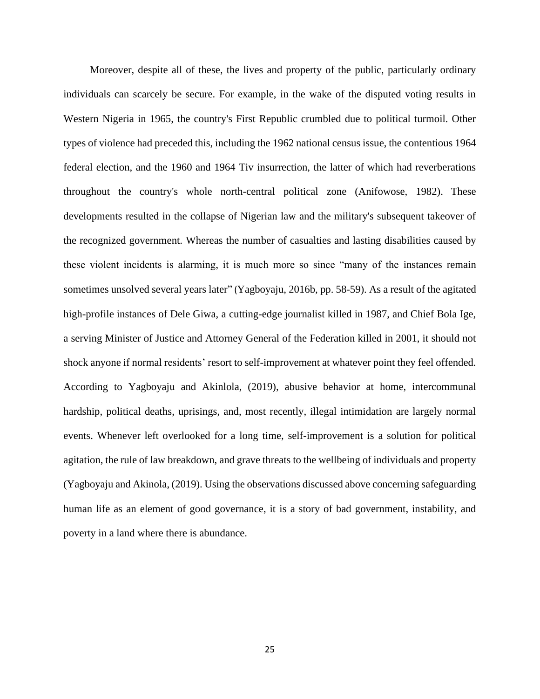Moreover, despite all of these, the lives and property of the public, particularly ordinary individuals can scarcely be secure. For example, in the wake of the disputed voting results in Western Nigeria in 1965, the country's First Republic crumbled due to political turmoil. Other types of violence had preceded this, including the 1962 national census issue, the contentious 1964 federal election, and the 1960 and 1964 Tiv insurrection, the latter of which had reverberations throughout the country's whole north-central political zone (Anifowose, 1982). These developments resulted in the collapse of Nigerian law and the military's subsequent takeover of the recognized government. Whereas the number of casualties and lasting disabilities caused by these violent incidents is alarming, it is much more so since "many of the instances remain sometimes unsolved several years later" (Yagboyaju, 2016b, pp. 58-59). As a result of the agitated high-profile instances of Dele Giwa, a cutting-edge journalist killed in 1987, and Chief Bola Ige, a serving Minister of Justice and Attorney General of the Federation killed in 2001, it should not shock anyone if normal residents' resort to self-improvement at whatever point they feel offended. According to Yagboyaju and Akinlola, (2019), abusive behavior at home, intercommunal hardship, political deaths, uprisings, and, most recently, illegal intimidation are largely normal events. Whenever left overlooked for a long time, self-improvement is a solution for political agitation, the rule of law breakdown, and grave threats to the wellbeing of individuals and property (Yagboyaju and Akinola, (2019). Using the observations discussed above concerning safeguarding human life as an element of good governance, it is a story of bad government, instability, and poverty in a land where there is abundance.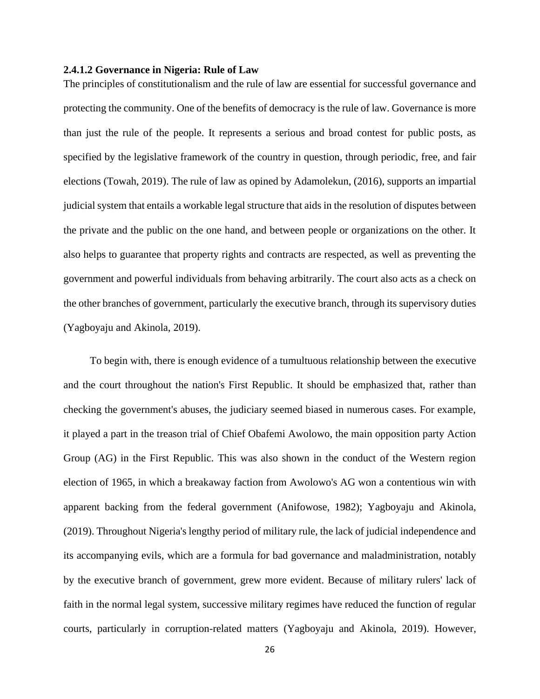### **2.4.1.2 Governance in Nigeria: Rule of Law**

The principles of constitutionalism and the rule of law are essential for successful governance and protecting the community. One of the benefits of democracy is the rule of law. Governance is more than just the rule of the people. It represents a serious and broad contest for public posts, as specified by the legislative framework of the country in question, through periodic, free, and fair elections (Towah, 2019). The rule of law as opined by Adamolekun, (2016), supports an impartial judicial system that entails a workable legal structure that aids in the resolution of disputes between the private and the public on the one hand, and between people or organizations on the other. It also helps to guarantee that property rights and contracts are respected, as well as preventing the government and powerful individuals from behaving arbitrarily. The court also acts as a check on the other branches of government, particularly the executive branch, through its supervisory duties (Yagboyaju and Akinola, 2019).

 To begin with, there is enough evidence of a tumultuous relationship between the executive and the court throughout the nation's First Republic. It should be emphasized that, rather than checking the government's abuses, the judiciary seemed biased in numerous cases. For example, it played a part in the treason trial of Chief Obafemi Awolowo, the main opposition party Action Group (AG) in the First Republic. This was also shown in the conduct of the Western region election of 1965, in which a breakaway faction from Awolowo's AG won a contentious win with apparent backing from the federal government (Anifowose, 1982); Yagboyaju and Akinola, (2019). Throughout Nigeria's lengthy period of military rule, the lack of judicial independence and its accompanying evils, which are a formula for bad governance and maladministration, notably by the executive branch of government, grew more evident. Because of military rulers' lack of faith in the normal legal system, successive military regimes have reduced the function of regular courts, particularly in corruption-related matters (Yagboyaju and Akinola, 2019). However,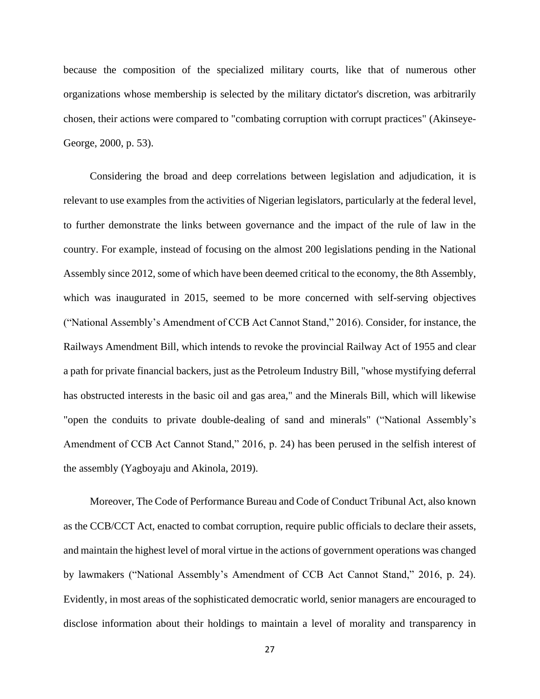because the composition of the specialized military courts, like that of numerous other organizations whose membership is selected by the military dictator's discretion, was arbitrarily chosen, their actions were compared to "combating corruption with corrupt practices" (Akinseye-George, 2000, p. 53).

 Considering the broad and deep correlations between legislation and adjudication, it is relevant to use examples from the activities of Nigerian legislators, particularly at the federal level, to further demonstrate the links between governance and the impact of the rule of law in the country. For example, instead of focusing on the almost 200 legislations pending in the National Assembly since 2012, some of which have been deemed critical to the economy, the 8th Assembly, which was inaugurated in 2015, seemed to be more concerned with self-serving objectives ("National Assembly's Amendment of CCB Act Cannot Stand," 2016). Consider, for instance, the Railways Amendment Bill, which intends to revoke the provincial Railway Act of 1955 and clear a path for private financial backers, just as the Petroleum Industry Bill, "whose mystifying deferral has obstructed interests in the basic oil and gas area," and the Minerals Bill, which will likewise "open the conduits to private double-dealing of sand and minerals" ("National Assembly's Amendment of CCB Act Cannot Stand," 2016, p. 24) has been perused in the selfish interest of the assembly (Yagboyaju and Akinola, 2019).

 Moreover, The Code of Performance Bureau and Code of Conduct Tribunal Act, also known as the CCB/CCT Act, enacted to combat corruption, require public officials to declare their assets, and maintain the highest level of moral virtue in the actions of government operations was changed by lawmakers ("National Assembly's Amendment of CCB Act Cannot Stand," 2016, p. 24). Evidently, in most areas of the sophisticated democratic world, senior managers are encouraged to disclose information about their holdings to maintain a level of morality and transparency in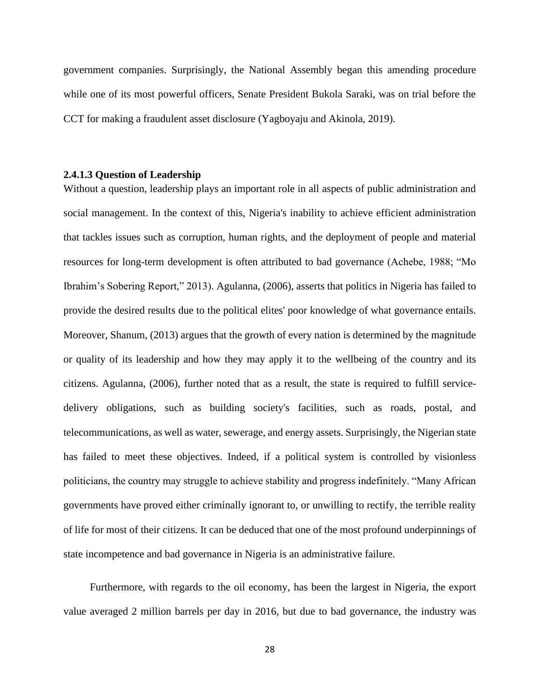government companies. Surprisingly, the National Assembly began this amending procedure while one of its most powerful officers, Senate President Bukola Saraki, was on trial before the CCT for making a fraudulent asset disclosure (Yagboyaju and Akinola, 2019).

## **2.4.1.3 Question of Leadership**

Without a question, leadership plays an important role in all aspects of public administration and social management. In the context of this, Nigeria's inability to achieve efficient administration that tackles issues such as corruption, human rights, and the deployment of people and material resources for long-term development is often attributed to bad governance (Achebe, 1988; "Mo Ibrahim's Sobering Report," 2013). Agulanna, (2006), asserts that politics in Nigeria has failed to provide the desired results due to the political elites' poor knowledge of what governance entails. Moreover, Shanum, (2013) argues that the growth of every nation is determined by the magnitude or quality of its leadership and how they may apply it to the wellbeing of the country and its citizens. Agulanna, (2006), further noted that as a result, the state is required to fulfill servicedelivery obligations, such as building society's facilities, such as roads, postal, and telecommunications, as well as water, sewerage, and energy assets. Surprisingly, the Nigerian state has failed to meet these objectives. Indeed, if a political system is controlled by visionless politicians, the country may struggle to achieve stability and progress indefinitely. "Many African governments have proved either criminally ignorant to, or unwilling to rectify, the terrible reality of life for most of their citizens. It can be deduced that one of the most profound underpinnings of state incompetence and bad governance in Nigeria is an administrative failure.

 Furthermore, with regards to the oil economy, has been the largest in Nigeria, the export value averaged 2 million barrels per day in 2016, but due to bad governance, the industry was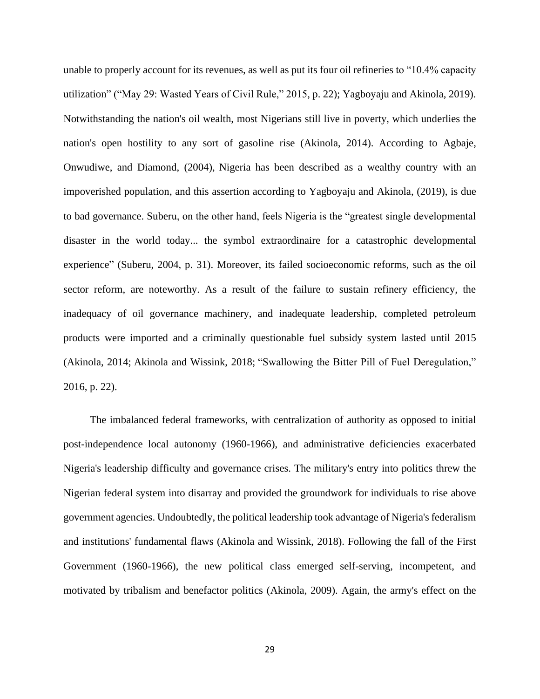unable to properly account for its revenues, as well as put its four oil refineries to "10.4% capacity utilization" ("May 29: Wasted Years of Civil Rule," 2015, p. 22); Yagboyaju and Akinola, 2019). Notwithstanding the nation's oil wealth, most Nigerians still live in poverty, which underlies the nation's open hostility to any sort of gasoline rise (Akinola, 2014). According to Agbaje, Onwudiwe, and Diamond, (2004), Nigeria has been described as a wealthy country with an impoverished population, and this assertion according to Yagboyaju and Akinola, (2019), is due to bad governance. Suberu, on the other hand, feels Nigeria is the "greatest single developmental disaster in the world today... the symbol extraordinaire for a catastrophic developmental experience" (Suberu, 2004, p. 31). Moreover, its failed socioeconomic reforms, such as the oil sector reform, are noteworthy. As a result of the failure to sustain refinery efficiency, the inadequacy of oil governance machinery, and inadequate leadership, completed petroleum products were imported and a criminally questionable fuel subsidy system lasted until 2015 (Akinola, 2014; Akinola and Wissink, 2018; "Swallowing the Bitter Pill of Fuel Deregulation," 2016, p. 22).

 The imbalanced federal frameworks, with centralization of authority as opposed to initial post-independence local autonomy (1960-1966), and administrative deficiencies exacerbated Nigeria's leadership difficulty and governance crises. The military's entry into politics threw the Nigerian federal system into disarray and provided the groundwork for individuals to rise above government agencies. Undoubtedly, the political leadership took advantage of Nigeria's federalism and institutions' fundamental flaws (Akinola and Wissink, 2018). Following the fall of the First Government (1960-1966), the new political class emerged self-serving, incompetent, and motivated by tribalism and benefactor politics (Akinola, 2009). Again, the army's effect on the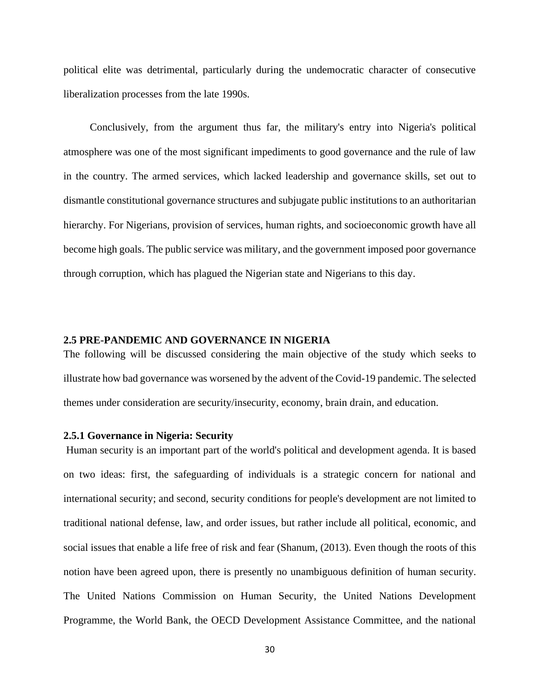political elite was detrimental, particularly during the undemocratic character of consecutive liberalization processes from the late 1990s.

 Conclusively, from the argument thus far, the military's entry into Nigeria's political atmosphere was one of the most significant impediments to good governance and the rule of law in the country. The armed services, which lacked leadership and governance skills, set out to dismantle constitutional governance structures and subjugate public institutions to an authoritarian hierarchy. For Nigerians, provision of services, human rights, and socioeconomic growth have all become high goals. The public service was military, and the government imposed poor governance through corruption, which has plagued the Nigerian state and Nigerians to this day.

# **2.5 PRE-PANDEMIC AND GOVERNANCE IN NIGERIA**

The following will be discussed considering the main objective of the study which seeks to illustrate how bad governance was worsened by the advent of the Covid-19 pandemic. The selected themes under consideration are security/insecurity, economy, brain drain, and education.

#### **2.5.1 Governance in Nigeria: Security**

Human security is an important part of the world's political and development agenda. It is based on two ideas: first, the safeguarding of individuals is a strategic concern for national and international security; and second, security conditions for people's development are not limited to traditional national defense, law, and order issues, but rather include all political, economic, and social issues that enable a life free of risk and fear (Shanum, (2013). Even though the roots of this notion have been agreed upon, there is presently no unambiguous definition of human security. The United Nations Commission on Human Security, the United Nations Development Programme, the World Bank, the OECD Development Assistance Committee, and the national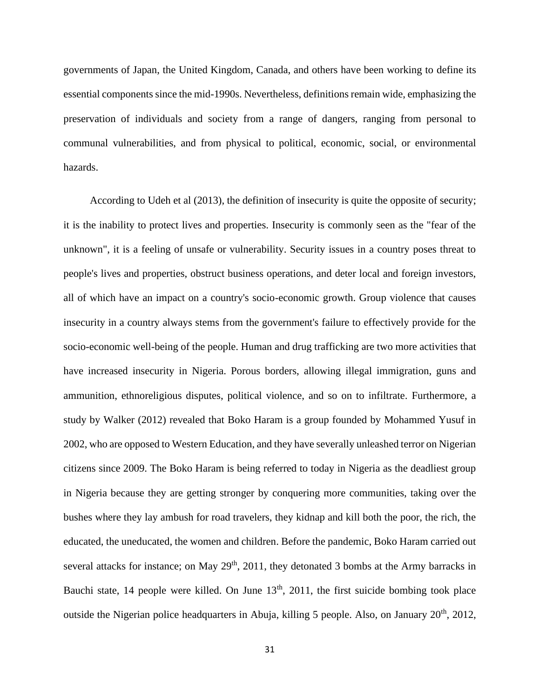governments of Japan, the United Kingdom, Canada, and others have been working to define its essential components since the mid-1990s. Nevertheless, definitions remain wide, emphasizing the preservation of individuals and society from a range of dangers, ranging from personal to communal vulnerabilities, and from physical to political, economic, social, or environmental hazards.

 According to Udeh et al (2013), the definition of insecurity is quite the opposite of security; it is the inability to protect lives and properties. Insecurity is commonly seen as the "fear of the unknown", it is a feeling of unsafe or vulnerability. Security issues in a country poses threat to people's lives and properties, obstruct business operations, and deter local and foreign investors, all of which have an impact on a country's socio-economic growth. Group violence that causes insecurity in a country always stems from the government's failure to effectively provide for the socio-economic well-being of the people. Human and drug trafficking are two more activities that have increased insecurity in Nigeria. Porous borders, allowing illegal immigration, guns and ammunition, ethnoreligious disputes, political violence, and so on to infiltrate. Furthermore, a study by Walker (2012) revealed that Boko Haram is a group founded by Mohammed Yusuf in 2002, who are opposed to Western Education, and they have severally unleashed terror on Nigerian citizens since 2009. The Boko Haram is being referred to today in Nigeria as the deadliest group in Nigeria because they are getting stronger by conquering more communities, taking over the bushes where they lay ambush for road travelers, they kidnap and kill both the poor, the rich, the educated, the uneducated, the women and children. Before the pandemic, Boko Haram carried out several attacks for instance; on May  $29<sup>th</sup>$ , 2011, they detonated 3 bombs at the Army barracks in Bauchi state, 14 people were killed. On June  $13<sup>th</sup>$ , 2011, the first suicide bombing took place outside the Nigerian police headquarters in Abuja, killing 5 people. Also, on January  $20<sup>th</sup>$ ,  $2012$ ,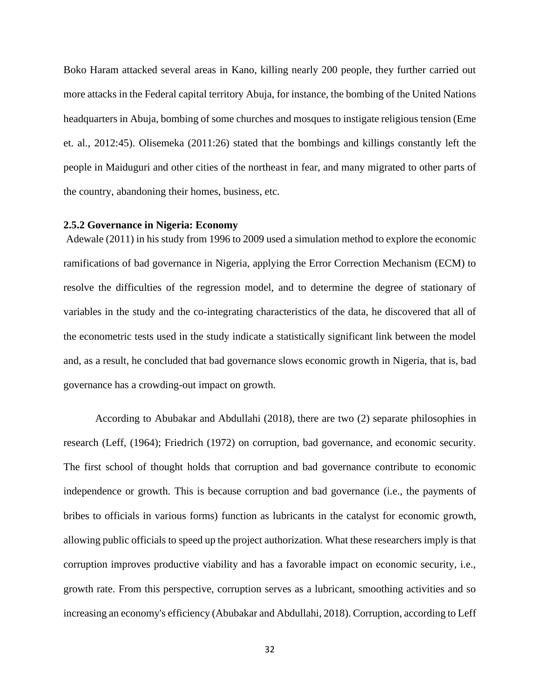Boko Haram attacked several areas in Kano, killing nearly 200 people, they further carried out more attacks in the Federal capital territory Abuja, for instance, the bombing of the United Nations headquarters in Abuja, bombing of some churches and mosques to instigate religious tension (Eme et. al., 2012:45). Olisemeka (2011:26) stated that the bombings and killings constantly left the people in Maiduguri and other cities of the northeast in fear, and many migrated to other parts of the country, abandoning their homes, business, etc.

## **2.5.2 Governance in Nigeria: Economy**

Adewale (2011) in his study from 1996 to 2009 used a simulation method to explore the economic ramifications of bad governance in Nigeria, applying the Error Correction Mechanism (ECM) to resolve the difficulties of the regression model, and to determine the degree of stationary of variables in the study and the co-integrating characteristics of the data, he discovered that all of the econometric tests used in the study indicate a statistically significant link between the model and, as a result, he concluded that bad governance slows economic growth in Nigeria, that is, bad governance has a crowding-out impact on growth.

According to Abubakar and Abdullahi (2018), there are two (2) separate philosophies in research (Leff, (1964); Friedrich (1972) on corruption, bad governance, and economic security. The first school of thought holds that corruption and bad governance contribute to economic independence or growth. This is because corruption and bad governance (i.e., the payments of bribes to officials in various forms) function as lubricants in the catalyst for economic growth, allowing public officials to speed up the project authorization. What these researchers imply is that corruption improves productive viability and has a favorable impact on economic security, i.e., growth rate. From this perspective, corruption serves as a lubricant, smoothing activities and so increasing an economy's efficiency (Abubakar and Abdullahi, 2018). Corruption, according to Leff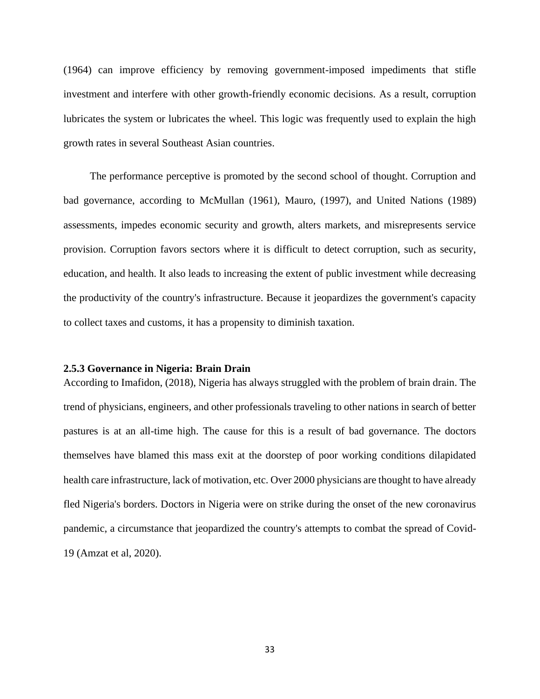(1964) can improve efficiency by removing government-imposed impediments that stifle investment and interfere with other growth-friendly economic decisions. As a result, corruption lubricates the system or lubricates the wheel. This logic was frequently used to explain the high growth rates in several Southeast Asian countries.

 The performance perceptive is promoted by the second school of thought. Corruption and bad governance, according to McMullan (1961), Mauro, (1997), and United Nations (1989) assessments, impedes economic security and growth, alters markets, and misrepresents service provision. Corruption favors sectors where it is difficult to detect corruption, such as security, education, and health. It also leads to increasing the extent of public investment while decreasing the productivity of the country's infrastructure. Because it jeopardizes the government's capacity to collect taxes and customs, it has a propensity to diminish taxation.

# **2.5.3 Governance in Nigeria: Brain Drain**

According to Imafidon, (2018), Nigeria has always struggled with the problem of brain drain. The trend of physicians, engineers, and other professionals traveling to other nations in search of better pastures is at an all-time high. The cause for this is a result of bad governance. The doctors themselves have blamed this mass exit at the doorstep of poor working conditions dilapidated health care infrastructure, lack of motivation, etc. Over 2000 physicians are thought to have already fled Nigeria's borders. Doctors in Nigeria were on strike during the onset of the new coronavirus pandemic, a circumstance that jeopardized the country's attempts to combat the spread of Covid-19 (Amzat et al, 2020).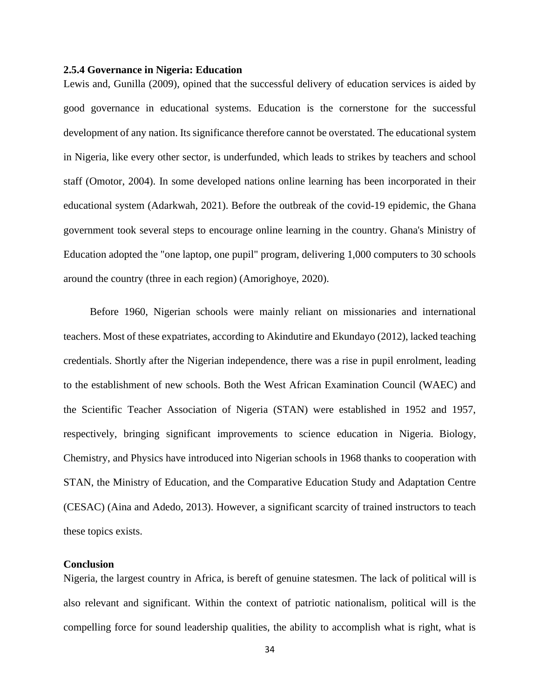### **2.5.4 Governance in Nigeria: Education**

Lewis and, Gunilla (2009), opined that the successful delivery of education services is aided by good governance in educational systems. Education is the cornerstone for the successful development of any nation. Its significance therefore cannot be overstated. The educational system in Nigeria, like every other sector, is underfunded, which leads to strikes by teachers and school staff (Omotor, 2004). In some developed nations online learning has been incorporated in their educational system (Adarkwah, 2021). Before the outbreak of the covid-19 epidemic, the Ghana government took several steps to encourage online learning in the country. Ghana's Ministry of Education adopted the "one laptop, one pupil" program, delivering 1,000 computers to 30 schools around the country (three in each region) (Amorighoye, 2020).

 Before 1960, Nigerian schools were mainly reliant on missionaries and international teachers. Most of these expatriates, according to Akindutire and Ekundayo (2012), lacked teaching credentials. Shortly after the Nigerian independence, there was a rise in pupil enrolment, leading to the establishment of new schools. Both the West African Examination Council (WAEC) and the Scientific Teacher Association of Nigeria (STAN) were established in 1952 and 1957, respectively, bringing significant improvements to science education in Nigeria. Biology, Chemistry, and Physics have introduced into Nigerian schools in 1968 thanks to cooperation with STAN, the Ministry of Education, and the Comparative Education Study and Adaptation Centre (CESAC) (Aina and Adedo, 2013). However, a significant scarcity of trained instructors to teach these topics exists.

# **Conclusion**

Nigeria, the largest country in Africa, is bereft of genuine statesmen. The lack of political will is also relevant and significant. Within the context of patriotic nationalism, political will is the compelling force for sound leadership qualities, the ability to accomplish what is right, what is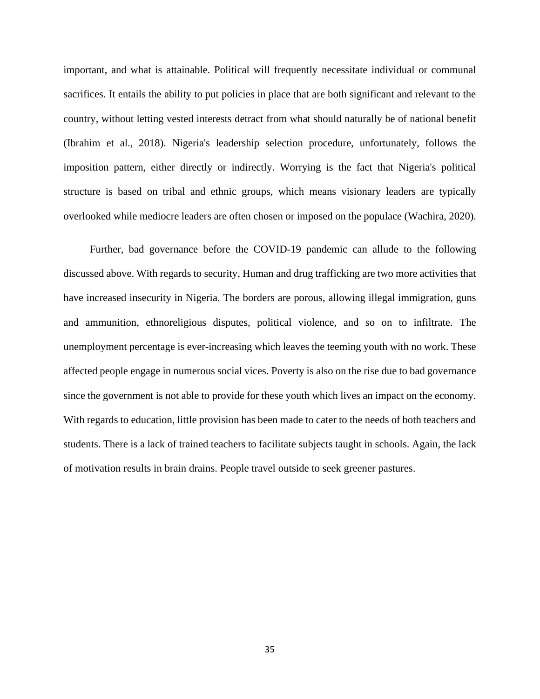important, and what is attainable. Political will frequently necessitate individual or communal sacrifices. It entails the ability to put policies in place that are both significant and relevant to the country, without letting vested interests detract from what should naturally be of national benefit (Ibrahim et al., 2018). Nigeria's leadership selection procedure, unfortunately, follows the imposition pattern, either directly or indirectly. Worrying is the fact that Nigeria's political structure is based on tribal and ethnic groups, which means visionary leaders are typically overlooked while mediocre leaders are often chosen or imposed on the populace (Wachira, 2020).

 Further, bad governance before the COVID-19 pandemic can allude to the following discussed above. With regards to security, Human and drug trafficking are two more activities that have increased insecurity in Nigeria. The borders are porous, allowing illegal immigration, guns and ammunition, ethnoreligious disputes, political violence, and so on to infiltrate. The unemployment percentage is ever-increasing which leaves the teeming youth with no work. These affected people engage in numerous social vices. Poverty is also on the rise due to bad governance since the government is not able to provide for these youth which lives an impact on the economy. With regards to education, little provision has been made to cater to the needs of both teachers and students. There is a lack of trained teachers to facilitate subjects taught in schools. Again, the lack of motivation results in brain drains. People travel outside to seek greener pastures.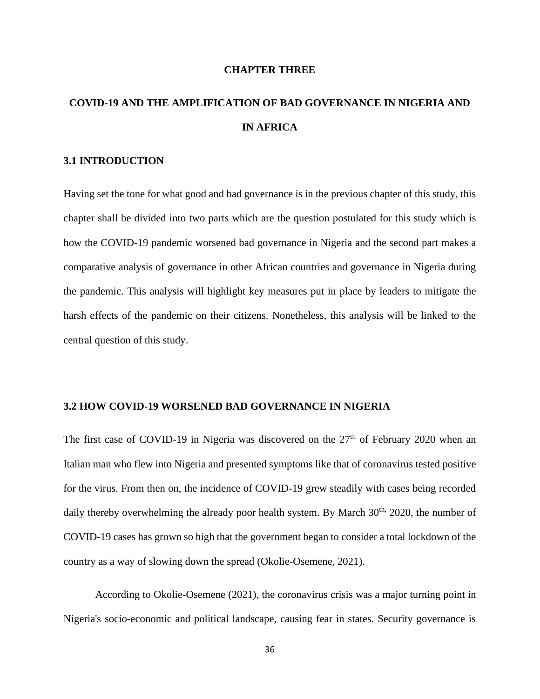#### **CHAPTER THREE**

# **COVID-19 AND THE AMPLIFICATION OF BAD GOVERNANCE IN NIGERIA AND IN AFRICA**

# **3.1 INTRODUCTION**

Having set the tone for what good and bad governance is in the previous chapter of this study, this chapter shall be divided into two parts which are the question postulated for this study which is how the COVID-19 pandemic worsened bad governance in Nigeria and the second part makes a comparative analysis of governance in other African countries and governance in Nigeria during the pandemic. This analysis will highlight key measures put in place by leaders to mitigate the harsh effects of the pandemic on their citizens. Nonetheless, this analysis will be linked to the central question of this study.

## **3.2 HOW COVID-19 WORSENED BAD GOVERNANCE IN NIGERIA**

The first case of COVID-19 in Nigeria was discovered on the  $27<sup>th</sup>$  of February 2020 when an Italian man who flew into Nigeria and presented symptoms like that of coronavirus tested positive for the virus. From then on, the incidence of COVID-19 grew steadily with cases being recorded daily thereby overwhelming the already poor health system. By March  $30<sup>th</sup>$ ,  $2020$ , the number of COVID-19 cases has grown so high that the government began to consider a total lockdown of the country as a way of slowing down the spread (Okolie-Osemene, 2021).

According to Okolie-Osemene (2021), the coronavirus crisis was a major turning point in Nigeria's socio-economic and political landscape, causing fear in states. Security governance is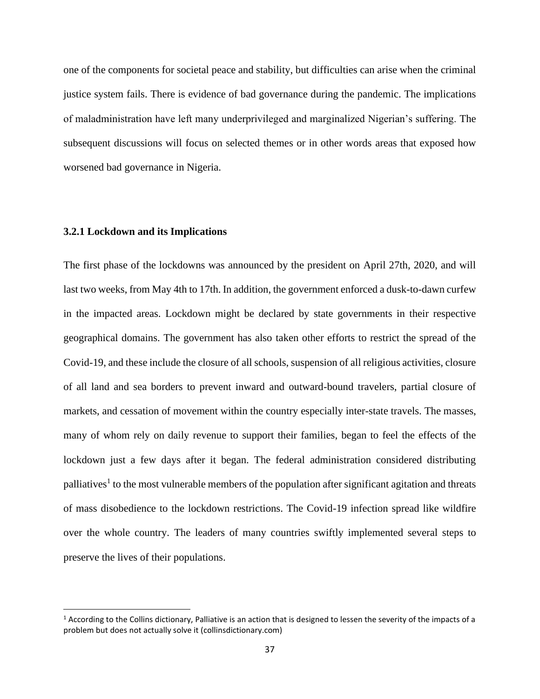one of the components for societal peace and stability, but difficulties can arise when the criminal justice system fails. There is evidence of bad governance during the pandemic. The implications of maladministration have left many underprivileged and marginalized Nigerian's suffering. The subsequent discussions will focus on selected themes or in other words areas that exposed how worsened bad governance in Nigeria.

## **3.2.1 Lockdown and its Implications**

The first phase of the lockdowns was announced by the president on April 27th, 2020, and will last two weeks, from May 4th to 17th. In addition, the government enforced a dusk-to-dawn curfew in the impacted areas. Lockdown might be declared by state governments in their respective geographical domains. The government has also taken other efforts to restrict the spread of the Covid-19, and these include the closure of all schools, suspension of all religious activities, closure of all land and sea borders to prevent inward and outward-bound travelers, partial closure of markets, and cessation of movement within the country especially inter-state travels. The masses, many of whom rely on daily revenue to support their families, began to feel the effects of the lockdown just a few days after it began. The federal administration considered distributing palliatives<sup>1</sup> to the most vulnerable members of the population after significant agitation and threats of mass disobedience to the lockdown restrictions. The Covid-19 infection spread like wildfire over the whole country. The leaders of many countries swiftly implemented several steps to preserve the lives of their populations.

 $1$  According to the Collins dictionary, Palliative is an action that is designed to lessen the severity of the impacts of a problem but does not actually solve it (collinsdictionary.com)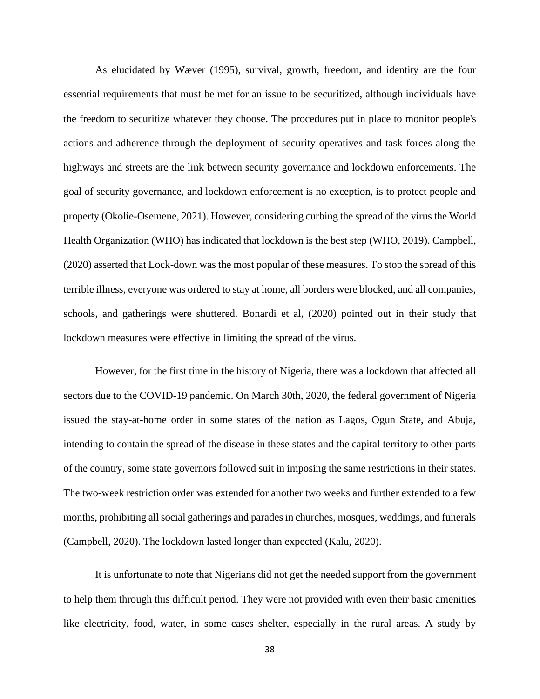As elucidated by Wæver (1995), survival, growth, freedom, and identity are the four essential requirements that must be met for an issue to be securitized, although individuals have the freedom to securitize whatever they choose. The procedures put in place to monitor people's actions and adherence through the deployment of security operatives and task forces along the highways and streets are the link between security governance and lockdown enforcements. The goal of security governance, and lockdown enforcement is no exception, is to protect people and property (Okolie-Osemene, 2021). However, considering curbing the spread of the virus the World Health Organization (WHO) has indicated that lockdown is the best step (WHO, 2019). Campbell, (2020) asserted that Lock-down was the most popular of these measures. To stop the spread of this terrible illness, everyone was ordered to stay at home, all borders were blocked, and all companies, schools, and gatherings were shuttered. Bonardi et al, (2020) pointed out in their study that lockdown measures were effective in limiting the spread of the virus.

However, for the first time in the history of Nigeria, there was a lockdown that affected all sectors due to the COVID-19 pandemic. On March 30th, 2020, the federal government of Nigeria issued the stay-at-home order in some states of the nation as Lagos, Ogun State, and Abuja, intending to contain the spread of the disease in these states and the capital territory to other parts of the country, some state governors followed suit in imposing the same restrictions in their states. The two-week restriction order was extended for another two weeks and further extended to a few months, prohibiting all social gatherings and parades in churches, mosques, weddings, and funerals (Campbell, 2020). The lockdown lasted longer than expected (Kalu, 2020).

It is unfortunate to note that Nigerians did not get the needed support from the government to help them through this difficult period. They were not provided with even their basic amenities like electricity, food, water, in some cases shelter, especially in the rural areas. A study by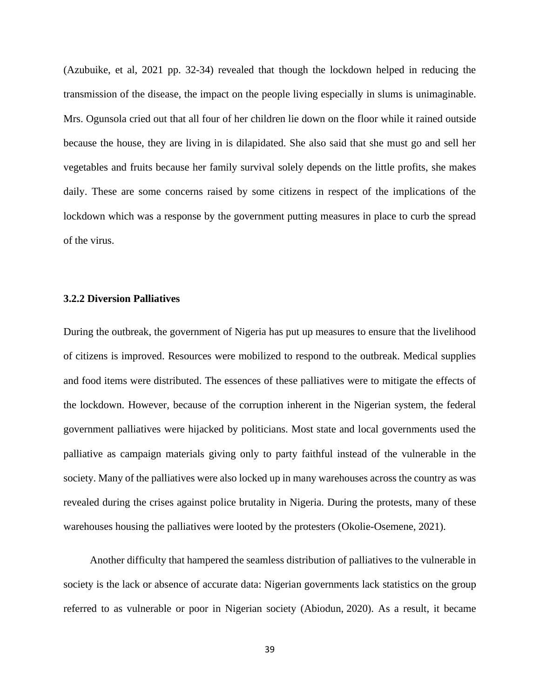(Azubuike, et al, 2021 pp. 32-34) revealed that though the lockdown helped in reducing the transmission of the disease, the impact on the people living especially in slums is unimaginable. Mrs. Ogunsola cried out that all four of her children lie down on the floor while it rained outside because the house, they are living in is dilapidated. She also said that she must go and sell her vegetables and fruits because her family survival solely depends on the little profits, she makes daily. These are some concerns raised by some citizens in respect of the implications of the lockdown which was a response by the government putting measures in place to curb the spread of the virus.

## **3.2.2 Diversion Palliatives**

During the outbreak, the government of Nigeria has put up measures to ensure that the livelihood of citizens is improved. Resources were mobilized to respond to the outbreak. Medical supplies and food items were distributed. The essences of these palliatives were to mitigate the effects of the lockdown. However, because of the corruption inherent in the Nigerian system, the federal government palliatives were hijacked by politicians. Most state and local governments used the palliative as campaign materials giving only to party faithful instead of the vulnerable in the society. Many of the palliatives were also locked up in many warehouses across the country as was revealed during the crises against police brutality in Nigeria. During the protests, many of these warehouses housing the palliatives were looted by the protesters (Okolie-Osemene, 2021).

 Another difficulty that hampered the seamless distribution of palliatives to the vulnerable in society is the lack or absence of accurate data: Nigerian governments lack statistics on the group referred to as vulnerable or poor in Nigerian society (Abiodun, 2020). As a result, it became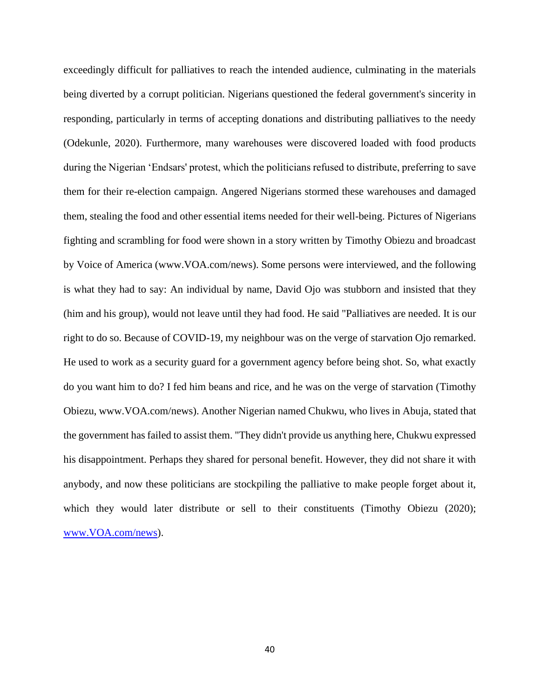exceedingly difficult for palliatives to reach the intended audience, culminating in the materials being diverted by a corrupt politician. Nigerians questioned the federal government's sincerity in responding, particularly in terms of accepting donations and distributing palliatives to the needy (Odekunle, 2020). Furthermore, many warehouses were discovered loaded with food products during the Nigerian 'Endsars' protest, which the politicians refused to distribute, preferring to save them for their re-election campaign. Angered Nigerians stormed these warehouses and damaged them, stealing the food and other essential items needed for their well-being. Pictures of Nigerians fighting and scrambling for food were shown in a story written by Timothy Obiezu and broadcast by Voice of America (www.VOA.com/news). Some persons were interviewed, and the following is what they had to say: An individual by name, David Ojo was stubborn and insisted that they (him and his group), would not leave until they had food. He said "Palliatives are needed. It is our right to do so. Because of COVID-19, my neighbour was on the verge of starvation Ojo remarked. He used to work as a security guard for a government agency before being shot. So, what exactly do you want him to do? I fed him beans and rice, and he was on the verge of starvation (Timothy Obiezu, www.VOA.com/news). Another Nigerian named Chukwu, who lives in Abuja, stated that the government has failed to assist them. "They didn't provide us anything here, Chukwu expressed his disappointment. Perhaps they shared for personal benefit. However, they did not share it with anybody, and now these politicians are stockpiling the palliative to make people forget about it, which they would later distribute or sell to their constituents (Timothy Obiezu (2020); [www.VOA.com/news\)](http://www.voa.com/news).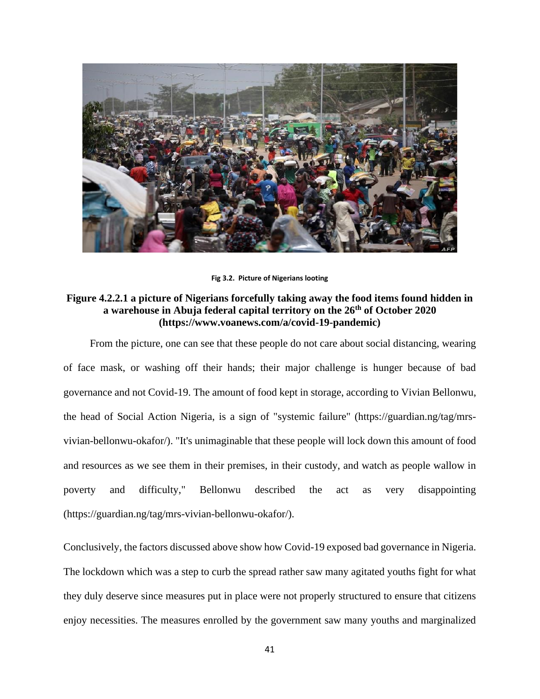

**Fig 3.2. Picture of Nigerians looting** 

# **Figure 4.2.2.1 a picture of Nigerians forcefully taking away the food items found hidden in a warehouse in Abuja federal capital territory on the 26th of October 2020 (https://www.voanews.com/a/covid-19-pandemic)**

 From the picture, one can see that these people do not care about social distancing, wearing of face mask, or washing off their hands; their major challenge is hunger because of bad governance and not Covid-19. The amount of food kept in storage, according to Vivian Bellonwu, the head of Social Action Nigeria, is a sign of "systemic failure" (https://guardian.ng/tag/mrsvivian-bellonwu-okafor/). "It's unimaginable that these people will lock down this amount of food and resources as we see them in their premises, in their custody, and watch as people wallow in poverty and difficulty," Bellonwu described the act as very disappointing (https://guardian.ng/tag/mrs-vivian-bellonwu-okafor/).

Conclusively, the factors discussed above show how Covid-19 exposed bad governance in Nigeria. The lockdown which was a step to curb the spread rather saw many agitated youths fight for what they duly deserve since measures put in place were not properly structured to ensure that citizens enjoy necessities. The measures enrolled by the government saw many youths and marginalized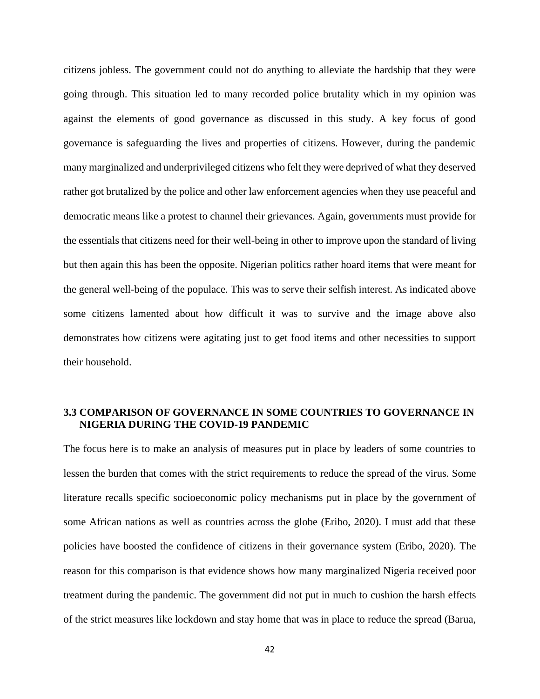citizens jobless. The government could not do anything to alleviate the hardship that they were going through. This situation led to many recorded police brutality which in my opinion was against the elements of good governance as discussed in this study. A key focus of good governance is safeguarding the lives and properties of citizens. However, during the pandemic many marginalized and underprivileged citizens who felt they were deprived of what they deserved rather got brutalized by the police and other law enforcement agencies when they use peaceful and democratic means like a protest to channel their grievances. Again, governments must provide for the essentials that citizens need for their well-being in other to improve upon the standard of living but then again this has been the opposite. Nigerian politics rather hoard items that were meant for the general well-being of the populace. This was to serve their selfish interest. As indicated above some citizens lamented about how difficult it was to survive and the image above also demonstrates how citizens were agitating just to get food items and other necessities to support their household.

# **3.3 COMPARISON OF GOVERNANCE IN SOME COUNTRIES TO GOVERNANCE IN NIGERIA DURING THE COVID-19 PANDEMIC**

The focus here is to make an analysis of measures put in place by leaders of some countries to lessen the burden that comes with the strict requirements to reduce the spread of the virus. Some literature recalls specific socioeconomic policy mechanisms put in place by the government of some African nations as well as countries across the globe (Eribo, 2020). I must add that these policies have boosted the confidence of citizens in their governance system (Eribo, 2020). The reason for this comparison is that evidence shows how many marginalized Nigeria received poor treatment during the pandemic. The government did not put in much to cushion the harsh effects of the strict measures like lockdown and stay home that was in place to reduce the spread (Barua,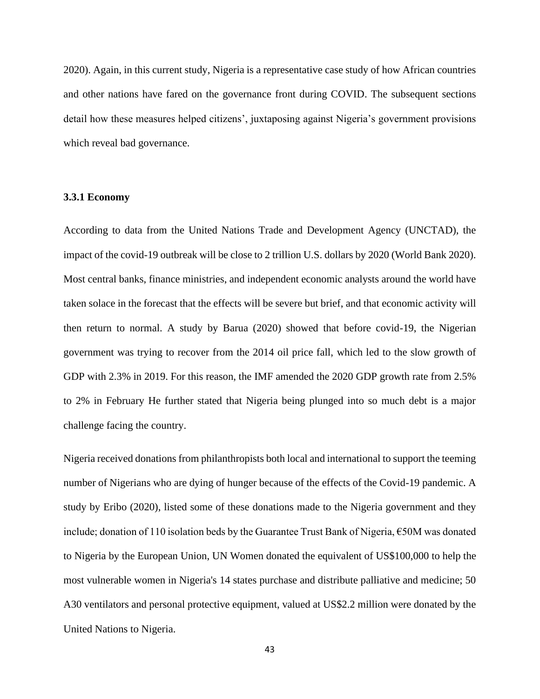2020). Again, in this current study, Nigeria is a representative case study of how African countries and other nations have fared on the governance front during COVID. The subsequent sections detail how these measures helped citizens', juxtaposing against Nigeria's government provisions which reveal bad governance.

#### **3.3.1 Economy**

According to data from the United Nations Trade and Development Agency (UNCTAD), the impact of the covid-19 outbreak will be close to 2 trillion U.S. dollars by 2020 (World Bank 2020). Most central banks, finance ministries, and independent economic analysts around the world have taken solace in the forecast that the effects will be severe but brief, and that economic activity will then return to normal. A study by Barua (2020) showed that before covid-19, the Nigerian government was trying to recover from the 2014 oil price fall, which led to the slow growth of GDP with 2.3% in 2019. For this reason, the IMF amended the 2020 GDP growth rate from 2.5% to 2% in February He further stated that Nigeria being plunged into so much debt is a major challenge facing the country.

Nigeria received donations from philanthropists both local and international to support the teeming number of Nigerians who are dying of hunger because of the effects of the Covid-19 pandemic. A study by Eribo (2020), listed some of these donations made to the Nigeria government and they include; donation of 110 isolation beds by the Guarantee Trust Bank of Nigeria,  $\epsilon$ 50M was donated to Nigeria by the European Union, UN Women donated the equivalent of US\$100,000 to help the most vulnerable women in Nigeria's 14 states purchase and distribute palliative and medicine; 50 A30 ventilators and personal protective equipment, valued at US\$2.2 million were donated by the United Nations to Nigeria.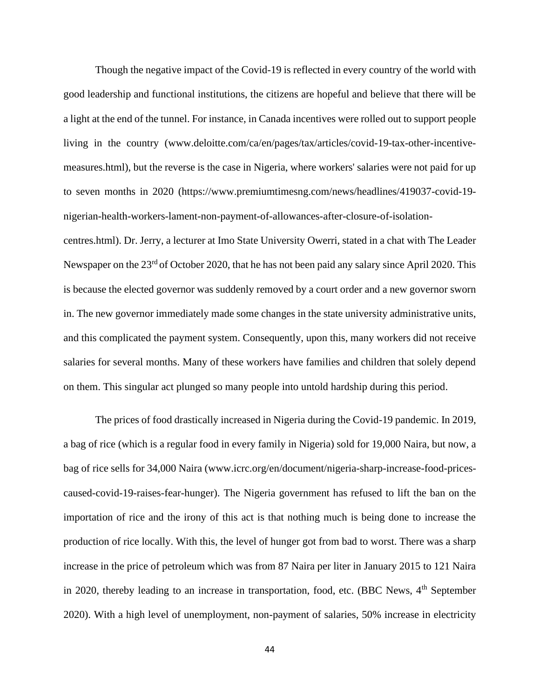Though the negative impact of the Covid-19 is reflected in every country of the world with good leadership and functional institutions, the citizens are hopeful and believe that there will be a light at the end of the tunnel. For instance, in Canada incentives were rolled out to support people living in the country (www.deloitte.com/ca/en/pages/tax/articles/covid-19-tax-other-incentivemeasures.html), but the reverse is the case in Nigeria, where workers' salaries were not paid for up to seven months in 2020 (https://www.premiumtimesng.com/news/headlines/419037-covid-19 nigerian-health-workers-lament-non-payment-of-allowances-after-closure-of-isolationcentres.html). Dr. Jerry, a lecturer at Imo State University Owerri, stated in a chat with The Leader Newspaper on the 23<sup>rd</sup> of October 2020, that he has not been paid any salary since April 2020. This is because the elected governor was suddenly removed by a court order and a new governor sworn in. The new governor immediately made some changes in the state university administrative units, and this complicated the payment system. Consequently, upon this, many workers did not receive salaries for several months. Many of these workers have families and children that solely depend on them. This singular act plunged so many people into untold hardship during this period.

The prices of food drastically increased in Nigeria during the Covid-19 pandemic. In 2019, a bag of rice (which is a regular food in every family in Nigeria) sold for 19,000 Naira, but now, a bag of rice sells for 34,000 Naira (www.icrc.org/en/document/nigeria-sharp-increase-food-pricescaused-covid-19-raises-fear-hunger). The Nigeria government has refused to lift the ban on the importation of rice and the irony of this act is that nothing much is being done to increase the production of rice locally. With this, the level of hunger got from bad to worst. There was a sharp increase in the price of petroleum which was from 87 Naira per liter in January 2015 to 121 Naira in 2020, thereby leading to an increase in transportation, food, etc. (BBC News,  $4<sup>th</sup>$  September 2020). With a high level of unemployment, non-payment of salaries, 50% increase in electricity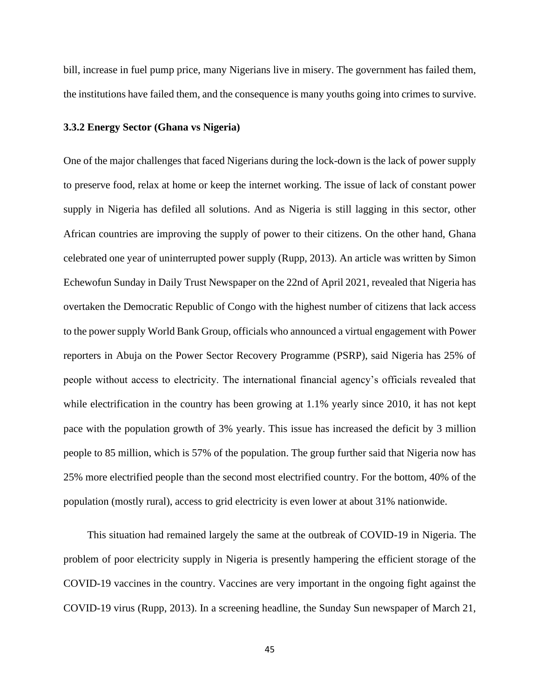bill, increase in fuel pump price, many Nigerians live in misery. The government has failed them, the institutions have failed them, and the consequence is many youths going into crimes to survive.

#### **3.3.2 Energy Sector (Ghana vs Nigeria)**

One of the major challenges that faced Nigerians during the lock-down is the lack of power supply to preserve food, relax at home or keep the internet working. The issue of lack of constant power supply in Nigeria has defiled all solutions. And as Nigeria is still lagging in this sector, other African countries are improving the supply of power to their citizens. On the other hand, Ghana celebrated one year of uninterrupted power supply (Rupp, 2013). An article was written by Simon Echewofun Sunday in Daily Trust Newspaper on the 22nd of April 2021, revealed that Nigeria has overtaken the Democratic Republic of Congo with the highest number of citizens that lack access to the power supply World Bank Group, officials who announced a virtual engagement with Power reporters in Abuja on the Power Sector Recovery Programme (PSRP), said Nigeria has 25% of people without access to electricity. The international financial agency's officials revealed that while electrification in the country has been growing at 1.1% yearly since 2010, it has not kept pace with the population growth of 3% yearly. This issue has increased the deficit by 3 million people to 85 million, which is 57% of the population. The group further said that Nigeria now has 25% more electrified people than the second most electrified country. For the bottom, 40% of the population (mostly rural), access to grid electricity is even lower at about 31% nationwide.

 This situation had remained largely the same at the outbreak of COVID-19 in Nigeria. The problem of poor electricity supply in Nigeria is presently hampering the efficient storage of the COVID-19 vaccines in the country. Vaccines are very important in the ongoing fight against the COVID-19 virus (Rupp, 2013). In a screening headline, the Sunday Sun newspaper of March 21,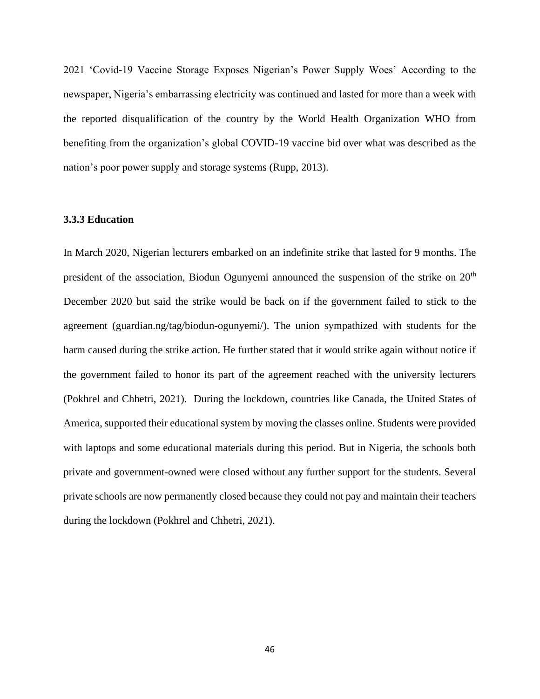2021 'Covid-19 Vaccine Storage Exposes Nigerian's Power Supply Woes' According to the newspaper, Nigeria's embarrassing electricity was continued and lasted for more than a week with the reported disqualification of the country by the World Health Organization WHO from benefiting from the organization's global COVID-19 vaccine bid over what was described as the nation's poor power supply and storage systems (Rupp, 2013).

## **3.3.3 Education**

In March 2020, Nigerian lecturers embarked on an indefinite strike that lasted for 9 months. The president of the association, Biodun Ogunyemi announced the suspension of the strike on 20<sup>th</sup> December 2020 but said the strike would be back on if the government failed to stick to the agreement (guardian.ng/tag/biodun-ogunyemi/). The union sympathized with students for the harm caused during the strike action. He further stated that it would strike again without notice if the government failed to honor its part of the agreement reached with the university lecturers (Pokhrel and Chhetri, 2021). During the lockdown, countries like Canada, the United States of America, supported their educational system by moving the classes online. Students were provided with laptops and some educational materials during this period. But in Nigeria, the schools both private and government-owned were closed without any further support for the students. Several private schools are now permanently closed because they could not pay and maintain their teachers during the lockdown (Pokhrel and Chhetri, 2021).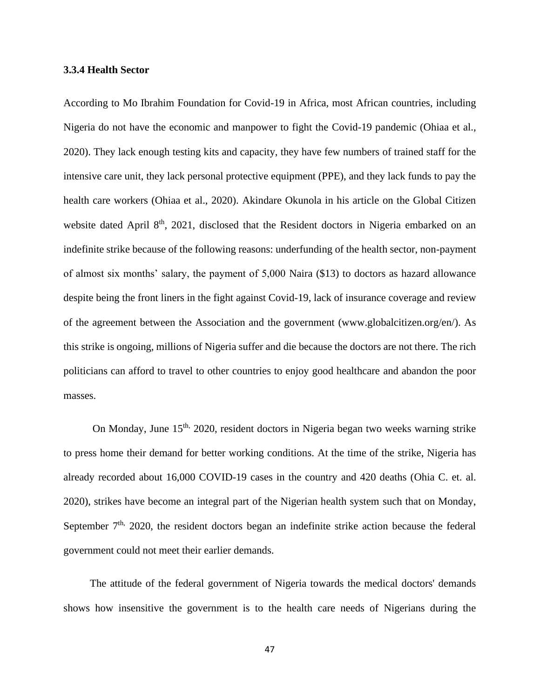## **3.3.4 Health Sector**

According to Mo Ibrahim Foundation for Covid-19 in Africa, most African countries, including Nigeria do not have the economic and manpower to fight the Covid-19 pandemic (Ohiaa et al., 2020). They lack enough testing kits and capacity, they have few numbers of trained staff for the intensive care unit, they lack personal protective equipment (PPE), and they lack funds to pay the health care workers (Ohiaa et al., 2020). Akindare Okunola in his article on the Global Citizen website dated April 8<sup>th</sup>, 2021, disclosed that the Resident doctors in Nigeria embarked on an indefinite strike because of the following reasons: underfunding of the health sector, non-payment of almost six months' salary, the payment of 5,000 Naira (\$13) to doctors as hazard allowance despite being the front liners in the fight against Covid-19, lack of insurance coverage and review of the agreement between the Association and the government (www.globalcitizen.org/en/). As this strike is ongoing, millions of Nigeria suffer and die because the doctors are not there. The rich politicians can afford to travel to other countries to enjoy good healthcare and abandon the poor masses.

On Monday, June 15<sup>th,</sup> 2020, resident doctors in Nigeria began two weeks warning strike to press home their demand for better working conditions. At the time of the strike, Nigeria has already recorded about 16,000 COVID-19 cases in the country and 420 deaths (Ohia C. et. al. 2020), strikes have become an integral part of the Nigerian health system such that on Monday, September  $7<sup>th</sup>$ , 2020, the resident doctors began an indefinite strike action because the federal government could not meet their earlier demands.

 The attitude of the federal government of Nigeria towards the medical doctors' demands shows how insensitive the government is to the health care needs of Nigerians during the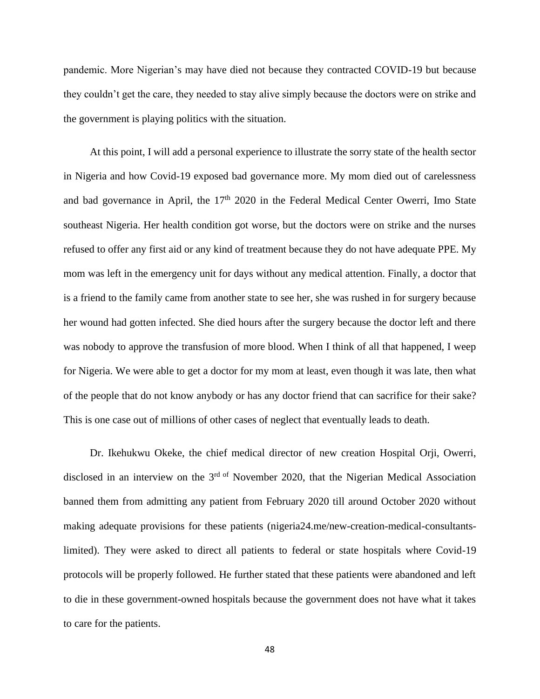pandemic. More Nigerian's may have died not because they contracted COVID-19 but because they couldn't get the care, they needed to stay alive simply because the doctors were on strike and the government is playing politics with the situation.

 At this point, I will add a personal experience to illustrate the sorry state of the health sector in Nigeria and how Covid-19 exposed bad governance more. My mom died out of carelessness and bad governance in April, the 17<sup>th</sup> 2020 in the Federal Medical Center Owerri, Imo State southeast Nigeria. Her health condition got worse, but the doctors were on strike and the nurses refused to offer any first aid or any kind of treatment because they do not have adequate PPE. My mom was left in the emergency unit for days without any medical attention. Finally, a doctor that is a friend to the family came from another state to see her, she was rushed in for surgery because her wound had gotten infected. She died hours after the surgery because the doctor left and there was nobody to approve the transfusion of more blood. When I think of all that happened, I weep for Nigeria. We were able to get a doctor for my mom at least, even though it was late, then what of the people that do not know anybody or has any doctor friend that can sacrifice for their sake? This is one case out of millions of other cases of neglect that eventually leads to death.

 Dr. Ikehukwu Okeke, the chief medical director of new creation Hospital Orji, Owerri, disclosed in an interview on the  $3<sup>rd of</sup>$  November 2020, that the Nigerian Medical Association banned them from admitting any patient from February 2020 till around October 2020 without making adequate provisions for these patients (nigeria24.me/new-creation-medical-consultantslimited). They were asked to direct all patients to federal or state hospitals where Covid-19 protocols will be properly followed. He further stated that these patients were abandoned and left to die in these government-owned hospitals because the government does not have what it takes to care for the patients.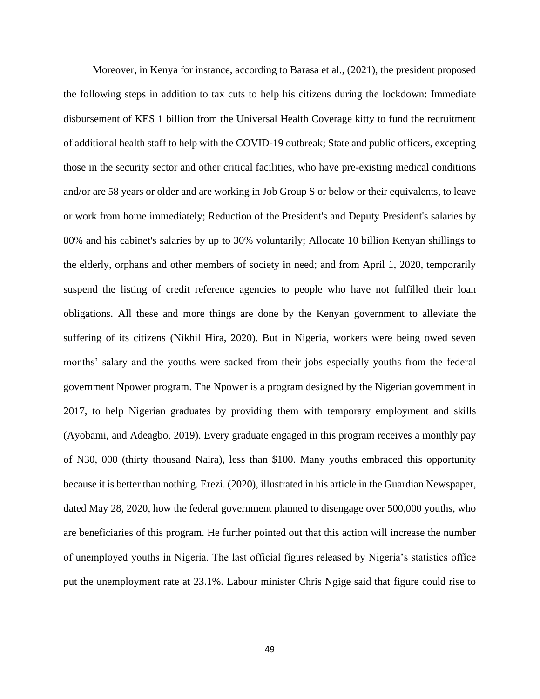Moreover, in Kenya for instance, according to Barasa et al., (2021), the president proposed the following steps in addition to tax cuts to help his citizens during the lockdown: Immediate disbursement of KES 1 billion from the Universal Health Coverage kitty to fund the recruitment of additional health staff to help with the COVID-19 outbreak; State and public officers, excepting those in the security sector and other critical facilities, who have pre-existing medical conditions and/or are 58 years or older and are working in Job Group S or below or their equivalents, to leave or work from home immediately; Reduction of the President's and Deputy President's salaries by 80% and his cabinet's salaries by up to 30% voluntarily; Allocate 10 billion Kenyan shillings to the elderly, orphans and other members of society in need; and from April 1, 2020, temporarily suspend the listing of credit reference agencies to people who have not fulfilled their loan obligations. All these and more things are done by the Kenyan government to alleviate the suffering of its citizens (Nikhil Hira, 2020). But in Nigeria, workers were being owed seven months' salary and the youths were sacked from their jobs especially youths from the federal government Npower program. The Npower is a program designed by the Nigerian government in 2017, to help Nigerian graduates by providing them with temporary employment and skills (Ayobami, and Adeagbo, 2019). Every graduate engaged in this program receives a monthly pay of N30, 000 (thirty thousand Naira), less than \$100. Many youths embraced this opportunity because it is better than nothing. Erezi. (2020), illustrated in his article in the Guardian Newspaper, dated May 28, 2020, how the federal government planned to disengage over 500,000 youths, who are beneficiaries of this program. He further pointed out that this action will increase the number of unemployed youths in Nigeria. The last official figures released by Nigeria's statistics office put the unemployment rate at 23.1%. Labour minister Chris Ngige said that figure could rise to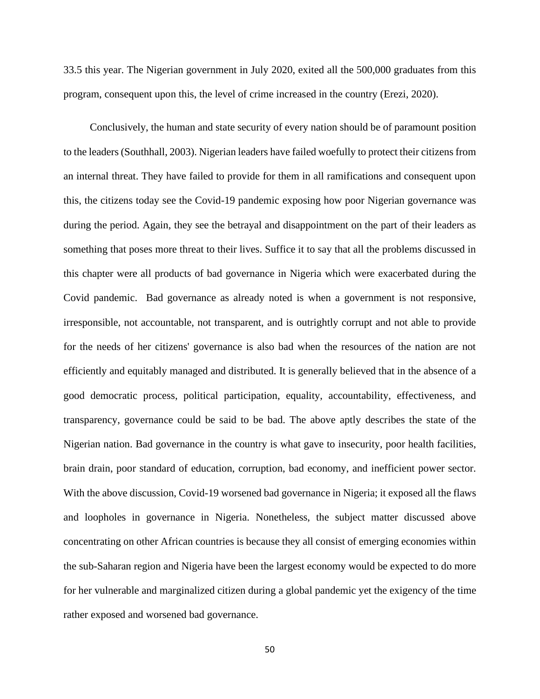33.5 this year. The Nigerian government in July 2020, exited all the 500,000 graduates from this program, consequent upon this, the level of crime increased in the country (Erezi, 2020).

 Conclusively, the human and state security of every nation should be of paramount position to the leaders (Southhall, 2003). Nigerian leaders have failed woefully to protect their citizens from an internal threat. They have failed to provide for them in all ramifications and consequent upon this, the citizens today see the Covid-19 pandemic exposing how poor Nigerian governance was during the period. Again, they see the betrayal and disappointment on the part of their leaders as something that poses more threat to their lives. Suffice it to say that all the problems discussed in this chapter were all products of bad governance in Nigeria which were exacerbated during the Covid pandemic. Bad governance as already noted is when a government is not responsive, irresponsible, not accountable, not transparent, and is outrightly corrupt and not able to provide for the needs of her citizens' governance is also bad when the resources of the nation are not efficiently and equitably managed and distributed. It is generally believed that in the absence of a good democratic process, political participation, equality, accountability, effectiveness, and transparency, governance could be said to be bad. The above aptly describes the state of the Nigerian nation. Bad governance in the country is what gave to insecurity, poor health facilities, brain drain, poor standard of education, corruption, bad economy, and inefficient power sector. With the above discussion, Covid-19 worsened bad governance in Nigeria; it exposed all the flaws and loopholes in governance in Nigeria. Nonetheless, the subject matter discussed above concentrating on other African countries is because they all consist of emerging economies within the sub-Saharan region and Nigeria have been the largest economy would be expected to do more for her vulnerable and marginalized citizen during a global pandemic yet the exigency of the time rather exposed and worsened bad governance.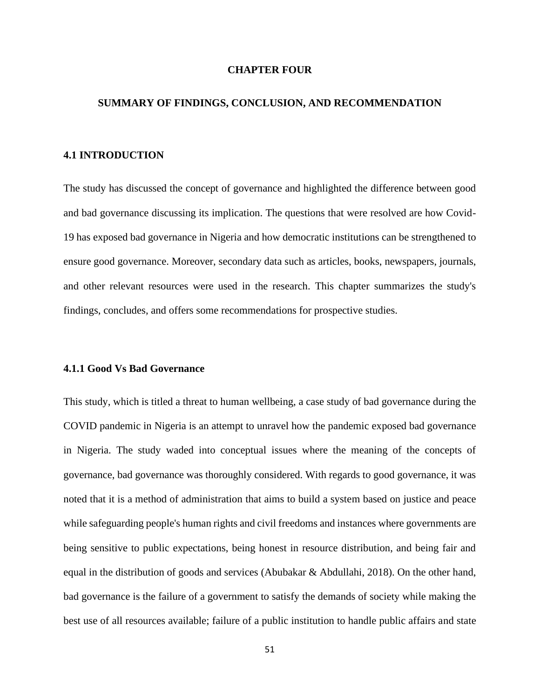## **CHAPTER FOUR**

## **SUMMARY OF FINDINGS, CONCLUSION, AND RECOMMENDATION**

# **4.1 INTRODUCTION**

The study has discussed the concept of governance and highlighted the difference between good and bad governance discussing its implication. The questions that were resolved are how Covid-19 has exposed bad governance in Nigeria and how democratic institutions can be strengthened to ensure good governance. Moreover, secondary data such as articles, books, newspapers, journals, and other relevant resources were used in the research. This chapter summarizes the study's findings, concludes, and offers some recommendations for prospective studies.

## **4.1.1 Good Vs Bad Governance**

This study, which is titled a threat to human wellbeing, a case study of bad governance during the COVID pandemic in Nigeria is an attempt to unravel how the pandemic exposed bad governance in Nigeria. The study waded into conceptual issues where the meaning of the concepts of governance, bad governance was thoroughly considered. With regards to good governance, it was noted that it is a method of administration that aims to build a system based on justice and peace while safeguarding people's human rights and civil freedoms and instances where governments are being sensitive to public expectations, being honest in resource distribution, and being fair and equal in the distribution of goods and services (Abubakar & Abdullahi, 2018). On the other hand, bad governance is the failure of a government to satisfy the demands of society while making the best use of all resources available; failure of a public institution to handle public affairs and state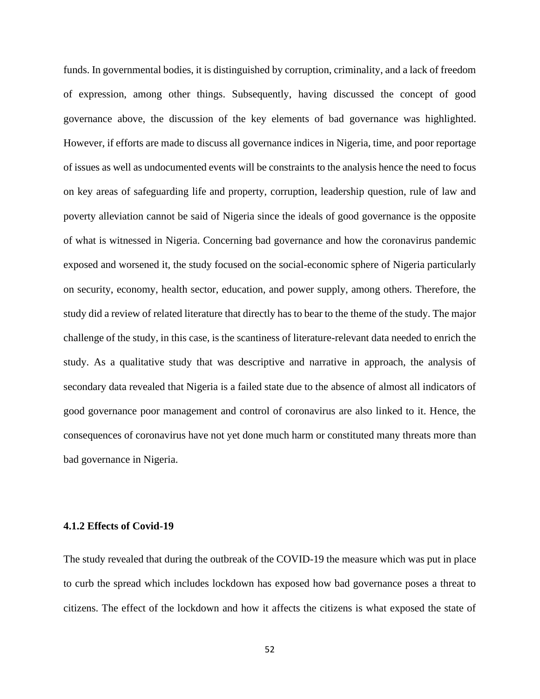funds. In governmental bodies, it is distinguished by corruption, criminality, and a lack of freedom of expression, among other things. Subsequently, having discussed the concept of good governance above, the discussion of the key elements of bad governance was highlighted. However, if efforts are made to discuss all governance indices in Nigeria, time, and poor reportage of issues as well as undocumented events will be constraints to the analysis hence the need to focus on key areas of safeguarding life and property, corruption, leadership question, rule of law and poverty alleviation cannot be said of Nigeria since the ideals of good governance is the opposite of what is witnessed in Nigeria. Concerning bad governance and how the coronavirus pandemic exposed and worsened it, the study focused on the social-economic sphere of Nigeria particularly on security, economy, health sector, education, and power supply, among others. Therefore, the study did a review of related literature that directly has to bear to the theme of the study. The major challenge of the study, in this case, is the scantiness of literature-relevant data needed to enrich the study. As a qualitative study that was descriptive and narrative in approach, the analysis of secondary data revealed that Nigeria is a failed state due to the absence of almost all indicators of good governance poor management and control of coronavirus are also linked to it. Hence, the consequences of coronavirus have not yet done much harm or constituted many threats more than bad governance in Nigeria.

# **4.1.2 Effects of Covid-19**

The study revealed that during the outbreak of the COVID-19 the measure which was put in place to curb the spread which includes lockdown has exposed how bad governance poses a threat to citizens. The effect of the lockdown and how it affects the citizens is what exposed the state of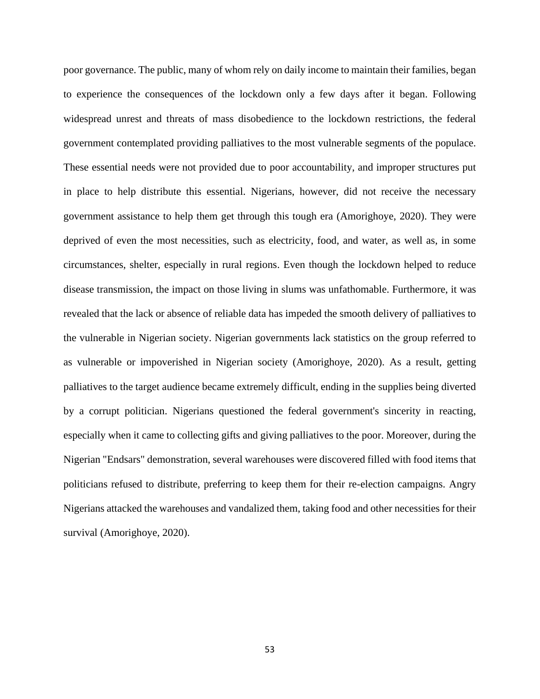poor governance. The public, many of whom rely on daily income to maintain their families, began to experience the consequences of the lockdown only a few days after it began. Following widespread unrest and threats of mass disobedience to the lockdown restrictions, the federal government contemplated providing palliatives to the most vulnerable segments of the populace. These essential needs were not provided due to poor accountability, and improper structures put in place to help distribute this essential. Nigerians, however, did not receive the necessary government assistance to help them get through this tough era (Amorighoye, 2020). They were deprived of even the most necessities, such as electricity, food, and water, as well as, in some circumstances, shelter, especially in rural regions. Even though the lockdown helped to reduce disease transmission, the impact on those living in slums was unfathomable. Furthermore, it was revealed that the lack or absence of reliable data has impeded the smooth delivery of palliatives to the vulnerable in Nigerian society. Nigerian governments lack statistics on the group referred to as vulnerable or impoverished in Nigerian society (Amorighoye, 2020). As a result, getting palliatives to the target audience became extremely difficult, ending in the supplies being diverted by a corrupt politician. Nigerians questioned the federal government's sincerity in reacting, especially when it came to collecting gifts and giving palliatives to the poor. Moreover, during the Nigerian "Endsars" demonstration, several warehouses were discovered filled with food items that politicians refused to distribute, preferring to keep them for their re-election campaigns. Angry Nigerians attacked the warehouses and vandalized them, taking food and other necessities for their survival (Amorighoye, 2020).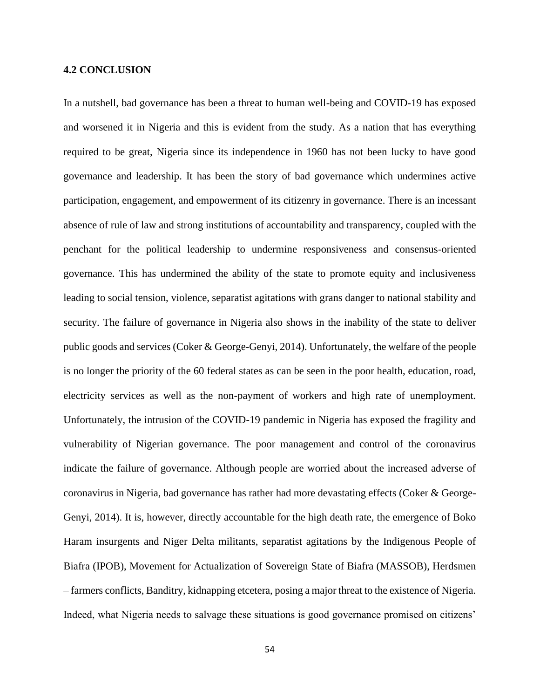## **4.2 CONCLUSION**

In a nutshell, bad governance has been a threat to human well-being and COVID-19 has exposed and worsened it in Nigeria and this is evident from the study. As a nation that has everything required to be great, Nigeria since its independence in 1960 has not been lucky to have good governance and leadership. It has been the story of bad governance which undermines active participation, engagement, and empowerment of its citizenry in governance. There is an incessant absence of rule of law and strong institutions of accountability and transparency, coupled with the penchant for the political leadership to undermine responsiveness and consensus-oriented governance. This has undermined the ability of the state to promote equity and inclusiveness leading to social tension, violence, separatist agitations with grans danger to national stability and security. The failure of governance in Nigeria also shows in the inability of the state to deliver public goods and services (Coker & George-Genyi, 2014). Unfortunately, the welfare of the people is no longer the priority of the 60 federal states as can be seen in the poor health, education, road, electricity services as well as the non-payment of workers and high rate of unemployment. Unfortunately, the intrusion of the COVID-19 pandemic in Nigeria has exposed the fragility and vulnerability of Nigerian governance. The poor management and control of the coronavirus indicate the failure of governance. Although people are worried about the increased adverse of coronavirus in Nigeria, bad governance has rather had more devastating effects (Coker & George-Genyi, 2014). It is, however, directly accountable for the high death rate, the emergence of Boko Haram insurgents and Niger Delta militants, separatist agitations by the Indigenous People of Biafra (IPOB), Movement for Actualization of Sovereign State of Biafra (MASSOB), Herdsmen – farmers conflicts, Banditry, kidnapping etcetera, posing a major threat to the existence of Nigeria. Indeed, what Nigeria needs to salvage these situations is good governance promised on citizens'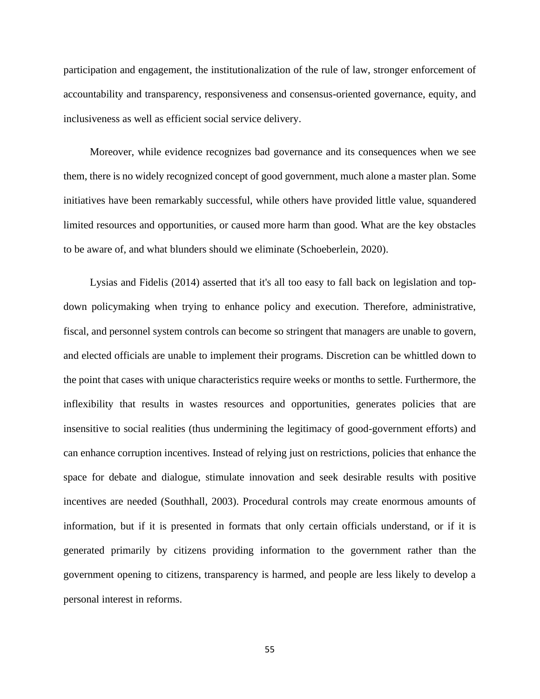participation and engagement, the institutionalization of the rule of law, stronger enforcement of accountability and transparency, responsiveness and consensus-oriented governance, equity, and inclusiveness as well as efficient social service delivery.

 Moreover, while evidence recognizes bad governance and its consequences when we see them, there is no widely recognized concept of good government, much alone a master plan. Some initiatives have been remarkably successful, while others have provided little value, squandered limited resources and opportunities, or caused more harm than good. What are the key obstacles to be aware of, and what blunders should we eliminate (Schoeberlein, 2020).

 Lysias and Fidelis (2014) asserted that it's all too easy to fall back on legislation and topdown policymaking when trying to enhance policy and execution. Therefore, administrative, fiscal, and personnel system controls can become so stringent that managers are unable to govern, and elected officials are unable to implement their programs. Discretion can be whittled down to the point that cases with unique characteristics require weeks or months to settle. Furthermore, the inflexibility that results in wastes resources and opportunities, generates policies that are insensitive to social realities (thus undermining the legitimacy of good-government efforts) and can enhance corruption incentives. Instead of relying just on restrictions, policies that enhance the space for debate and dialogue, stimulate innovation and seek desirable results with positive incentives are needed (Southhall, 2003). Procedural controls may create enormous amounts of information, but if it is presented in formats that only certain officials understand, or if it is generated primarily by citizens providing information to the government rather than the government opening to citizens, transparency is harmed, and people are less likely to develop a personal interest in reforms.

55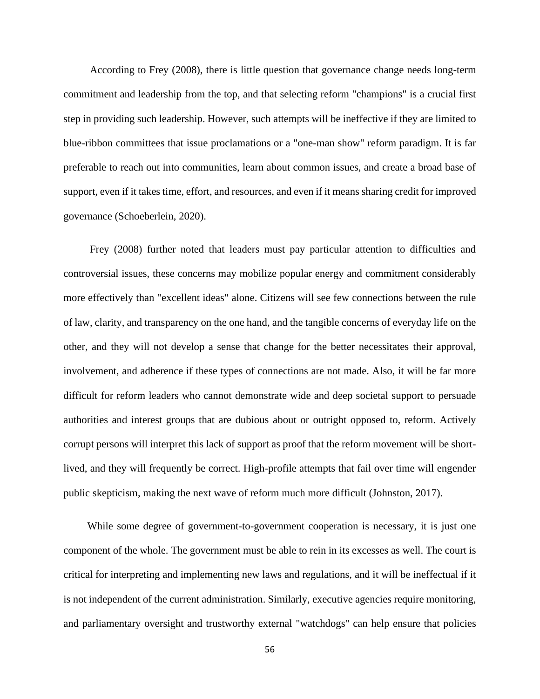According to Frey (2008), there is little question that governance change needs long-term commitment and leadership from the top, and that selecting reform "champions" is a crucial first step in providing such leadership. However, such attempts will be ineffective if they are limited to blue-ribbon committees that issue proclamations or a "one-man show" reform paradigm. It is far preferable to reach out into communities, learn about common issues, and create a broad base of support, even if it takes time, effort, and resources, and even if it means sharing credit for improved governance (Schoeberlein, 2020).

 Frey (2008) further noted that leaders must pay particular attention to difficulties and controversial issues, these concerns may mobilize popular energy and commitment considerably more effectively than "excellent ideas" alone. Citizens will see few connections between the rule of law, clarity, and transparency on the one hand, and the tangible concerns of everyday life on the other, and they will not develop a sense that change for the better necessitates their approval, involvement, and adherence if these types of connections are not made. Also, it will be far more difficult for reform leaders who cannot demonstrate wide and deep societal support to persuade authorities and interest groups that are dubious about or outright opposed to, reform. Actively corrupt persons will interpret this lack of support as proof that the reform movement will be shortlived, and they will frequently be correct. High-profile attempts that fail over time will engender public skepticism, making the next wave of reform much more difficult (Johnston, 2017).

While some degree of government-to-government cooperation is necessary, it is just one component of the whole. The government must be able to rein in its excesses as well. The court is critical for interpreting and implementing new laws and regulations, and it will be ineffectual if it is not independent of the current administration. Similarly, executive agencies require monitoring, and parliamentary oversight and trustworthy external "watchdogs" can help ensure that policies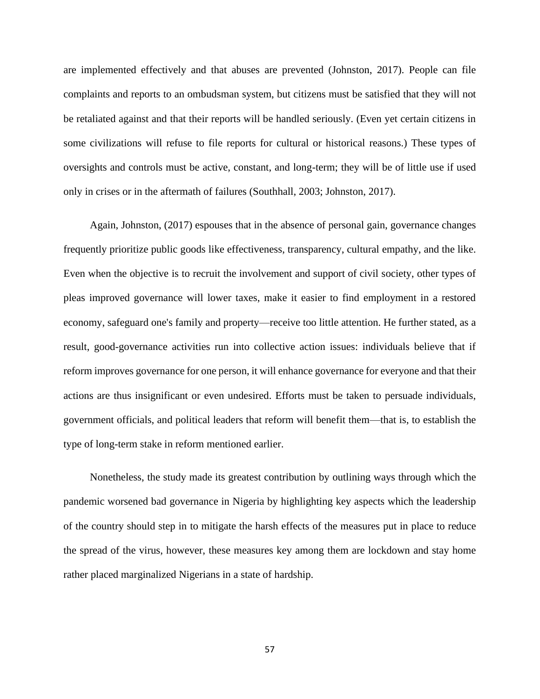are implemented effectively and that abuses are prevented (Johnston, 2017). People can file complaints and reports to an ombudsman system, but citizens must be satisfied that they will not be retaliated against and that their reports will be handled seriously. (Even yet certain citizens in some civilizations will refuse to file reports for cultural or historical reasons.) These types of oversights and controls must be active, constant, and long-term; they will be of little use if used only in crises or in the aftermath of failures (Southhall, 2003; Johnston, 2017).

 Again, Johnston, (2017) espouses that in the absence of personal gain, governance changes frequently prioritize public goods like effectiveness, transparency, cultural empathy, and the like. Even when the objective is to recruit the involvement and support of civil society, other types of pleas improved governance will lower taxes, make it easier to find employment in a restored economy, safeguard one's family and property—receive too little attention. He further stated, as a result, good-governance activities run into collective action issues: individuals believe that if reform improves governance for one person, it will enhance governance for everyone and that their actions are thus insignificant or even undesired. Efforts must be taken to persuade individuals, government officials, and political leaders that reform will benefit them—that is, to establish the type of long-term stake in reform mentioned earlier.

 Nonetheless, the study made its greatest contribution by outlining ways through which the pandemic worsened bad governance in Nigeria by highlighting key aspects which the leadership of the country should step in to mitigate the harsh effects of the measures put in place to reduce the spread of the virus, however, these measures key among them are lockdown and stay home rather placed marginalized Nigerians in a state of hardship.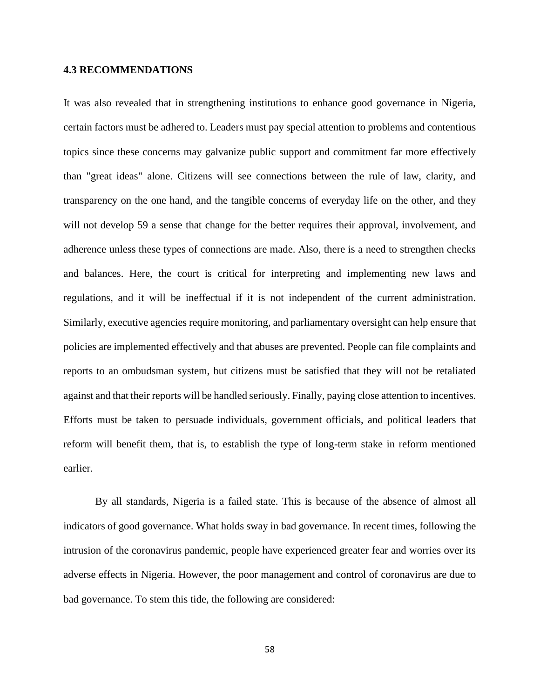# **4.3 RECOMMENDATIONS**

It was also revealed that in strengthening institutions to enhance good governance in Nigeria, certain factors must be adhered to. Leaders must pay special attention to problems and contentious topics since these concerns may galvanize public support and commitment far more effectively than "great ideas" alone. Citizens will see connections between the rule of law, clarity, and transparency on the one hand, and the tangible concerns of everyday life on the other, and they will not develop 59 a sense that change for the better requires their approval, involvement, and adherence unless these types of connections are made. Also, there is a need to strengthen checks and balances. Here, the court is critical for interpreting and implementing new laws and regulations, and it will be ineffectual if it is not independent of the current administration. Similarly, executive agencies require monitoring, and parliamentary oversight can help ensure that policies are implemented effectively and that abuses are prevented. People can file complaints and reports to an ombudsman system, but citizens must be satisfied that they will not be retaliated against and that their reports will be handled seriously. Finally, paying close attention to incentives. Efforts must be taken to persuade individuals, government officials, and political leaders that reform will benefit them, that is, to establish the type of long-term stake in reform mentioned earlier.

By all standards, Nigeria is a failed state. This is because of the absence of almost all indicators of good governance. What holds sway in bad governance. In recent times, following the intrusion of the coronavirus pandemic, people have experienced greater fear and worries over its adverse effects in Nigeria. However, the poor management and control of coronavirus are due to bad governance. To stem this tide, the following are considered: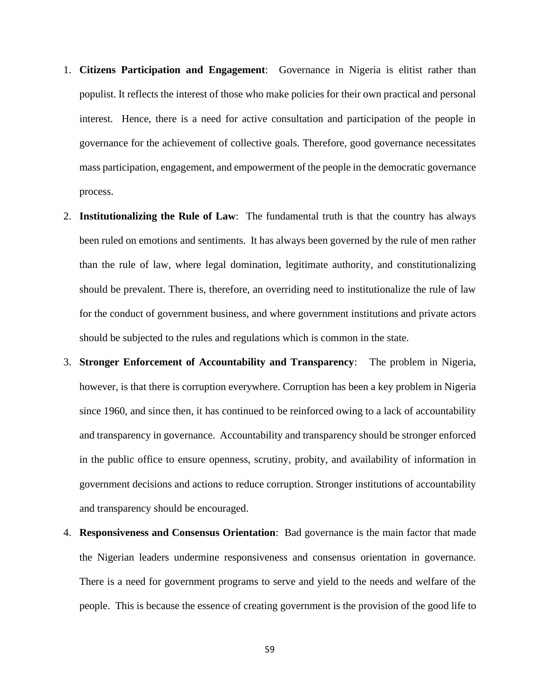- 1. **Citizens Participation and Engagement**: Governance in Nigeria is elitist rather than populist. It reflects the interest of those who make policies for their own practical and personal interest. Hence, there is a need for active consultation and participation of the people in governance for the achievement of collective goals. Therefore, good governance necessitates mass participation, engagement, and empowerment of the people in the democratic governance process.
- 2. **Institutionalizing the Rule of Law**: The fundamental truth is that the country has always been ruled on emotions and sentiments. It has always been governed by the rule of men rather than the rule of law, where legal domination, legitimate authority, and constitutionalizing should be prevalent. There is, therefore, an overriding need to institutionalize the rule of law for the conduct of government business, and where government institutions and private actors should be subjected to the rules and regulations which is common in the state.
- 3. **Stronger Enforcement of Accountability and Transparency**: The problem in Nigeria, however, is that there is corruption everywhere. Corruption has been a key problem in Nigeria since 1960, and since then, it has continued to be reinforced owing to a lack of accountability and transparency in governance. Accountability and transparency should be stronger enforced in the public office to ensure openness, scrutiny, probity, and availability of information in government decisions and actions to reduce corruption. Stronger institutions of accountability and transparency should be encouraged.
- 4. **Responsiveness and Consensus Orientation**: Bad governance is the main factor that made the Nigerian leaders undermine responsiveness and consensus orientation in governance. There is a need for government programs to serve and yield to the needs and welfare of the people. This is because the essence of creating government is the provision of the good life to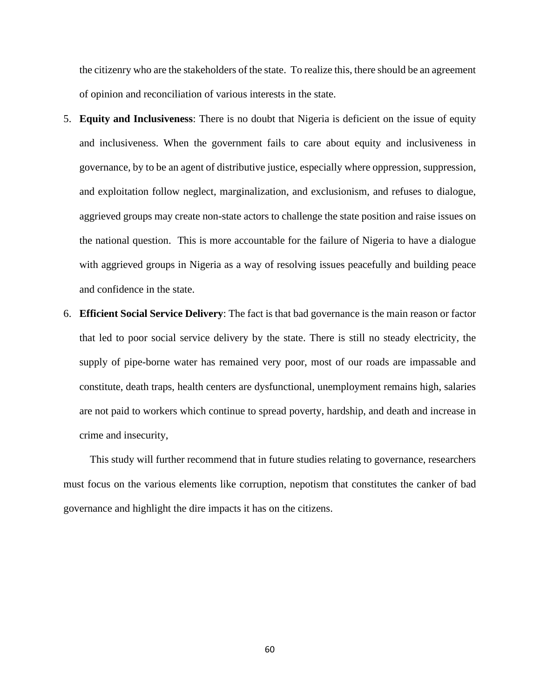the citizenry who are the stakeholders of the state. To realize this, there should be an agreement of opinion and reconciliation of various interests in the state.

- 5. **Equity and Inclusiveness**: There is no doubt that Nigeria is deficient on the issue of equity and inclusiveness. When the government fails to care about equity and inclusiveness in governance, by to be an agent of distributive justice, especially where oppression, suppression, and exploitation follow neglect, marginalization, and exclusionism, and refuses to dialogue, aggrieved groups may create non-state actors to challenge the state position and raise issues on the national question. This is more accountable for the failure of Nigeria to have a dialogue with aggrieved groups in Nigeria as a way of resolving issues peacefully and building peace and confidence in the state.
- 6. **Efficient Social Service Delivery**: The fact is that bad governance is the main reason or factor that led to poor social service delivery by the state. There is still no steady electricity, the supply of pipe-borne water has remained very poor, most of our roads are impassable and constitute, death traps, health centers are dysfunctional, unemployment remains high, salaries are not paid to workers which continue to spread poverty, hardship, and death and increase in crime and insecurity,

 This study will further recommend that in future studies relating to governance, researchers must focus on the various elements like corruption, nepotism that constitutes the canker of bad governance and highlight the dire impacts it has on the citizens.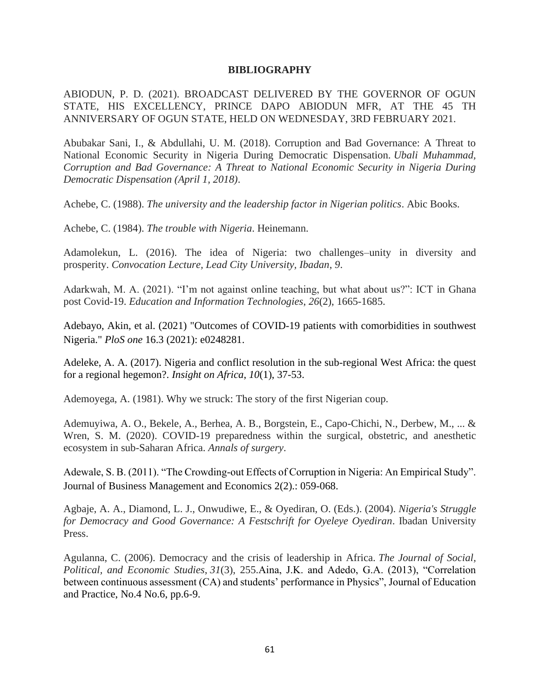# **BIBLIOGRAPHY**

ABIODUN, P. D. (2021). BROADCAST DELIVERED BY THE GOVERNOR OF OGUN STATE, HIS EXCELLENCY, PRINCE DAPO ABIODUN MFR, AT THE 45 TH ANNIVERSARY OF OGUN STATE, HELD ON WEDNESDAY, 3RD FEBRUARY 2021.

Abubakar Sani, I., & Abdullahi, U. M. (2018). Corruption and Bad Governance: A Threat to National Economic Security in Nigeria During Democratic Dispensation. *Ubali Muhammad, Corruption and Bad Governance: A Threat to National Economic Security in Nigeria During Democratic Dispensation (April 1, 2018)*.

Achebe, C. (1988). *The university and the leadership factor in Nigerian politics*. Abic Books.

Achebe, C. (1984). *The trouble with Nigeria*. Heinemann.

Adamolekun, L. (2016). The idea of Nigeria: two challenges–unity in diversity and prosperity. *Convocation Lecture, Lead City University, Ibadan*, *9*.

Adarkwah, M. A. (2021). "I'm not against online teaching, but what about us?": ICT in Ghana post Covid-19. *Education and Information Technologies*, *26*(2), 1665-1685.

Adebayo, Akin, et al. (2021) "Outcomes of COVID-19 patients with comorbidities in southwest Nigeria." *PloS one* 16.3 (2021): e0248281.

Adeleke, A. A. (2017). Nigeria and conflict resolution in the sub-regional West Africa: the quest for a regional hegemon?. *Insight on Africa*, *10*(1), 37-53.

Ademoyega, A. (1981). Why we struck: The story of the first Nigerian coup.

Ademuyiwa, A. O., Bekele, A., Berhea, A. B., Borgstein, E., Capo-Chichi, N., Derbew, M., ... & Wren, S. M. (2020). COVID-19 preparedness within the surgical, obstetric, and anesthetic ecosystem in sub-Saharan Africa. *Annals of surgery*.

Adewale, S. B. (2011). "The Crowding-out Effects of Corruption in Nigeria: An Empirical Study". Journal of Business Management and Economics 2(2).: 059-068.

Agbaje, A. A., Diamond, L. J., Onwudiwe, E., & Oyediran, O. (Eds.). (2004). *Nigeria's Struggle for Democracy and Good Governance: A Festschrift for Oyeleye Oyediran*. Ibadan University Press.

Agulanna, C. (2006). Democracy and the crisis of leadership in Africa. *The Journal of Social, Political, and Economic Studies*, *31*(3), 255.Aina, J.K. and Adedo, G.A. (2013), "Correlation between continuous assessment (CA) and students' performance in Physics", Journal of Education and Practice, No.4 No.6, pp.6-9.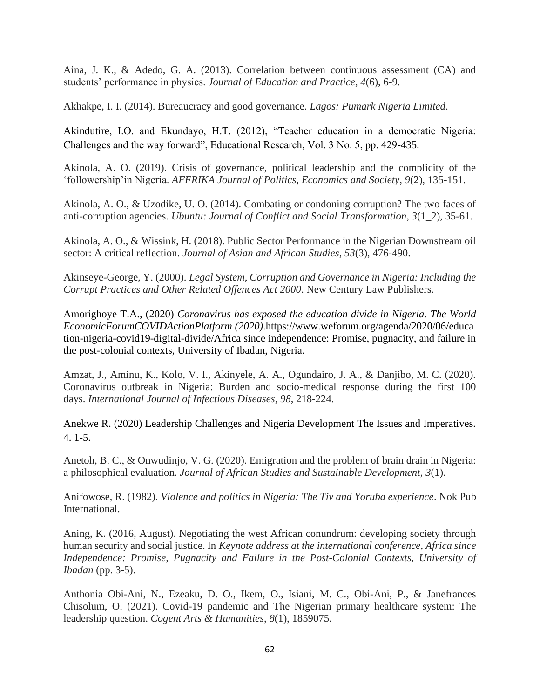Aina, J. K., & Adedo, G. A. (2013). Correlation between continuous assessment (CA) and students' performance in physics. *Journal of Education and Practice*, *4*(6), 6-9.

Akhakpe, I. I. (2014). Bureaucracy and good governance. *Lagos: Pumark Nigeria Limited*.

Akindutire, I.O. and Ekundayo, H.T. (2012), "Teacher education in a democratic Nigeria: Challenges and the way forward", Educational Research, Vol. 3 No. 5, pp. 429-435.

Akinola, A. O. (2019). Crisis of governance, political leadership and the complicity of the 'followership'in Nigeria. *AFFRIKA Journal of Politics, Economics and Society*, *9*(2), 135-151.

Akinola, A. O., & Uzodike, U. O. (2014). Combating or condoning corruption? The two faces of anti-corruption agencies. *Ubuntu: Journal of Conflict and Social Transformation*, *3*(1\_2), 35-61.

Akinola, A. O., & Wissink, H. (2018). Public Sector Performance in the Nigerian Downstream oil sector: A critical reflection. *Journal of Asian and African Studies*, *53*(3), 476-490.

Akinseye-George, Y. (2000). *Legal System, Corruption and Governance in Nigeria: Including the Corrupt Practices and Other Related Offences Act 2000*. New Century Law Publishers.

Amorighoye T.A., (2020) *Coronavirus has exposed the education divide in Nigeria. The World EconomicForumCOVIDActionPlatform (2020)*.https://www.weforum.org/agenda/2020/06/educa tion-nigeria-covid19-digital-divide/Africa since independence: Promise, pugnacity, and failure in the post-colonial contexts, University of Ibadan, Nigeria.

Amzat, J., Aminu, K., Kolo, V. I., Akinyele, A. A., Ogundairo, J. A., & Danjibo, M. C. (2020). Coronavirus outbreak in Nigeria: Burden and socio-medical response during the first 100 days. *International Journal of Infectious Diseases*, *98*, 218-224.

Anekwe R. (2020) Leadership Challenges and Nigeria Development The Issues and Imperatives. 4. 1-5.

Anetoh, B. C., & Onwudinjo, V. G. (2020). Emigration and the problem of brain drain in Nigeria: a philosophical evaluation. *Journal of African Studies and Sustainable Development*, *3*(1).

Anifowose, R. (1982). *Violence and politics in Nigeria: The Tiv and Yoruba experience*. Nok Pub International.

Aning, K. (2016, August). Negotiating the west African conundrum: developing society through human security and social justice. In *Keynote address at the international conference, Africa since Independence: Promise, Pugnacity and Failure in the Post-Colonial Contexts, University of Ibadan* (pp. 3-5).

Anthonia Obi-Ani, N., Ezeaku, D. O., Ikem, O., Isiani, M. C., Obi-Ani, P., & Janefrances Chisolum, O. (2021). Covid-19 pandemic and The Nigerian primary healthcare system: The leadership question. *Cogent Arts & Humanities*, *8*(1), 1859075.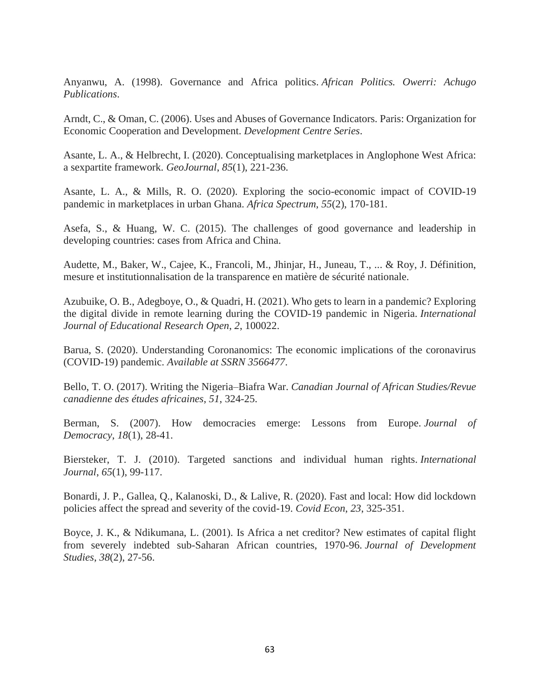Anyanwu, A. (1998). Governance and Africa politics. *African Politics. Owerri: Achugo Publications*.

Arndt, C., & Oman, C. (2006). Uses and Abuses of Governance Indicators. Paris: Organization for Economic Cooperation and Development. *Development Centre Series*.

Asante, L. A., & Helbrecht, I. (2020). Conceptualising marketplaces in Anglophone West Africa: a sexpartite framework. *GeoJournal*, *85*(1), 221-236.

Asante, L. A., & Mills, R. O. (2020). Exploring the socio-economic impact of COVID-19 pandemic in marketplaces in urban Ghana. *Africa Spectrum*, *55*(2), 170-181.

Asefa, S., & Huang, W. C. (2015). The challenges of good governance and leadership in developing countries: cases from Africa and China.

Audette, M., Baker, W., Cajee, K., Francoli, M., Jhinjar, H., Juneau, T., ... & Roy, J. Définition, mesure et institutionnalisation de la transparence en matière de sécurité nationale.

Azubuike, O. B., Adegboye, O., & Quadri, H. (2021). Who gets to learn in a pandemic? Exploring the digital divide in remote learning during the COVID-19 pandemic in Nigeria. *International Journal of Educational Research Open*, *2*, 100022.

Barua, S. (2020). Understanding Coronanomics: The economic implications of the coronavirus (COVID-19) pandemic. *Available at SSRN 3566477*.

Bello, T. O. (2017). Writing the Nigeria–Biafra War. *Canadian Journal of African Studies/Revue canadienne des études africaines*, *51*, 324-25.

Berman, S. (2007). How democracies emerge: Lessons from Europe. *Journal of Democracy*, *18*(1), 28-41.

Biersteker, T. J. (2010). Targeted sanctions and individual human rights. *International Journal*, *65*(1), 99-117.

Bonardi, J. P., Gallea, Q., Kalanoski, D., & Lalive, R. (2020). Fast and local: How did lockdown policies affect the spread and severity of the covid-19. *Covid Econ*, *23*, 325-351.

Boyce, J. K., & Ndikumana, L. (2001). Is Africa a net creditor? New estimates of capital flight from severely indebted sub-Saharan African countries, 1970-96. *Journal of Development Studies*, *38*(2), 27-56.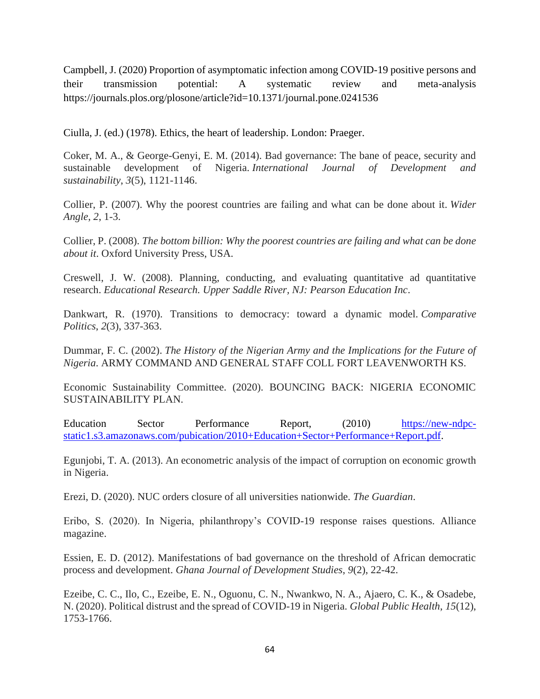Campbell, J. (2020) Proportion of asymptomatic infection among COVID-19 positive persons and their transmission potential: A systematic review and meta-analysis https://journals.plos.org/plosone/article?id=10.1371/journal.pone.0241536

Ciulla, J. (ed.) (1978). Ethics, the heart of leadership. London: Praeger.

Coker, M. A., & George-Genyi, E. M. (2014). Bad governance: The bane of peace, security and sustainable development of Nigeria. *International Journal of Development and sustainability*, *3*(5), 1121-1146.

Collier, P. (2007). Why the poorest countries are failing and what can be done about it. *Wider Angle*, *2*, 1-3.

Collier, P. (2008). *The bottom billion: Why the poorest countries are failing and what can be done about it*. Oxford University Press, USA.

Creswell, J. W. (2008). Planning, conducting, and evaluating quantitative ad quantitative research. *Educational Research. Upper Saddle River, NJ: Pearson Education Inc*.

Dankwart, R. (1970). Transitions to democracy: toward a dynamic model. *Comparative Politics*, *2*(3), 337-363.

Dummar, F. C. (2002). *The History of the Nigerian Army and the Implications for the Future of Nigeria*. ARMY COMMAND AND GENERAL STAFF COLL FORT LEAVENWORTH KS.

Economic Sustainability Committee. (2020). BOUNCING BACK: NIGERIA ECONOMIC SUSTAINABILITY PLAN.

Education Sector Performance Report, (2010) [https://new-ndpc](https://new-ndpc-static1.s3.amazonaws.com/pubication/2010+Education+Sector+Performance+Report.pdf)[static1.s3.amazonaws.com/pubication/2010+Education+Sector+Performance+Report.pdf.](https://new-ndpc-static1.s3.amazonaws.com/pubication/2010+Education+Sector+Performance+Report.pdf)

Egunjobi, T. A. (2013). An econometric analysis of the impact of corruption on economic growth in Nigeria.

Erezi, D. (2020). NUC orders closure of all universities nationwide. *The Guardian*.

Eribo, S. (2020). In Nigeria, philanthropy's COVID-19 response raises questions. Alliance magazine.

Essien, E. D. (2012). Manifestations of bad governance on the threshold of African democratic process and development. *Ghana Journal of Development Studies*, *9*(2), 22-42.

Ezeibe, C. C., Ilo, C., Ezeibe, E. N., Oguonu, C. N., Nwankwo, N. A., Ajaero, C. K., & Osadebe, N. (2020). Political distrust and the spread of COVID-19 in Nigeria. *Global Public Health*, *15*(12), 1753-1766.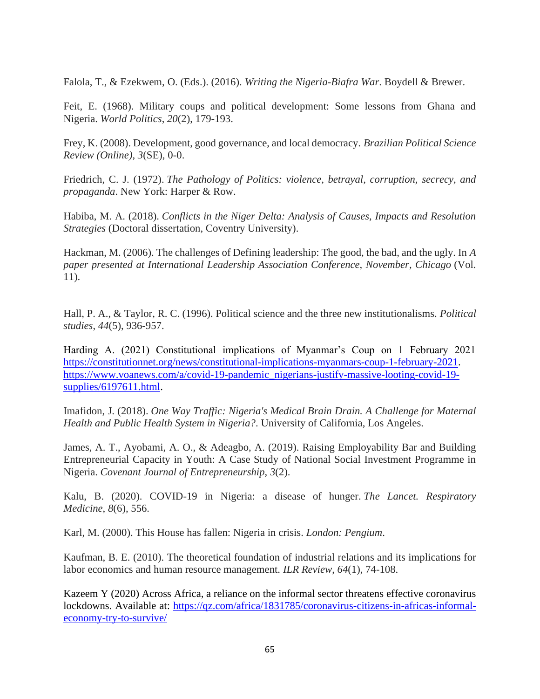Falola, T., & Ezekwem, O. (Eds.). (2016). *Writing the Nigeria-Biafra War*. Boydell & Brewer.

Feit, E. (1968). Military coups and political development: Some lessons from Ghana and Nigeria. *World Politics*, *20*(2), 179-193.

Frey, K. (2008). Development, good governance, and local democracy. *Brazilian Political Science Review (Online)*, *3*(SE), 0-0.

Friedrich, C. J. (1972). *The Pathology of Politics: violence, betrayal, corruption, secrecy, and propaganda*. New York: Harper & Row.

Habiba, M. A. (2018). *Conflicts in the Niger Delta: Analysis of Causes, Impacts and Resolution Strategies* (Doctoral dissertation, Coventry University).

Hackman, M. (2006). The challenges of Defining leadership: The good, the bad, and the ugly. In *A paper presented at International Leadership Association Conference, November, Chicago* (Vol. 11).

Hall, P. A., & Taylor, R. C. (1996). Political science and the three new institutionalisms. *Political studies*, *44*(5), 936-957.

Harding A. (2021) Constitutional implications of Myanmar's Coup on 1 February 2021 [https://constitutionnet.org/news/constitutional-implications-myanmars-coup-1-february-2021.](https://constitutionnet.org/news/constitutional-implications-myanmars-coup-1-february-2021) [https://www.voanews.com/a/covid-19-pandemic\\_nigerians-justify-massive-looting-covid-19](https://www.voanews.com/a/covid-19-pandemic_nigerians-justify-massive-looting-covid-19-supplies/6197611.html) [supplies/6197611.html.](https://www.voanews.com/a/covid-19-pandemic_nigerians-justify-massive-looting-covid-19-supplies/6197611.html)

Imafidon, J. (2018). *One Way Traffic: Nigeria's Medical Brain Drain. A Challenge for Maternal Health and Public Health System in Nigeria?*. University of California, Los Angeles.

James, A. T., Ayobami, A. O., & Adeagbo, A. (2019). Raising Employability Bar and Building Entrepreneurial Capacity in Youth: A Case Study of National Social Investment Programme in Nigeria. *Covenant Journal of Entrepreneurship*, *3*(2).

Kalu, B. (2020). COVID-19 in Nigeria: a disease of hunger. *The Lancet. Respiratory Medicine*, *8*(6), 556.

Karl, M. (2000). This House has fallen: Nigeria in crisis. *London: Pengium*.

Kaufman, B. E. (2010). The theoretical foundation of industrial relations and its implications for labor economics and human resource management. *ILR Review*, *64*(1), 74-108.

Kazeem Y (2020) Across Africa, a reliance on the informal sector threatens effective coronavirus lockdowns. Available at: [https://qz.com/africa/1831785/coronavirus-citizens-in-africas-informal](https://qz.com/africa/1831785/coronavirus-citizens-in-africas-informal-economy-try-to-survive/)[economy-try-to-survive/](https://qz.com/africa/1831785/coronavirus-citizens-in-africas-informal-economy-try-to-survive/)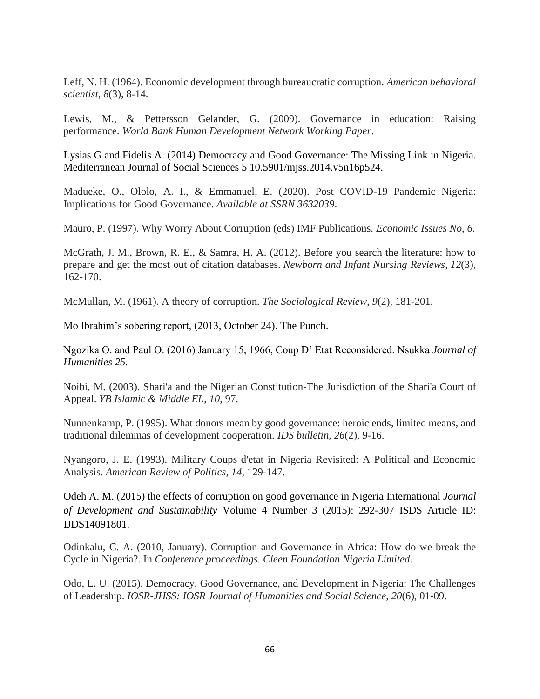Leff, N. H. (1964). Economic development through bureaucratic corruption. *American behavioral scientist*, *8*(3), 8-14.

Lewis, M., & Pettersson Gelander, G. (2009). Governance in education: Raising performance. *World Bank Human Development Network Working Paper*.

Lysias G and Fidelis A. (2014) Democracy and Good Governance: The Missing Link in Nigeria. Mediterranean Journal of Social Sciences 5 10.5901/mjss.2014.v5n16p524.

Madueke, O., Ololo, A. I., & Emmanuel, E. (2020). Post COVID-19 Pandemic Nigeria: Implications for Good Governance. *Available at SSRN 3632039*.

Mauro, P. (1997). Why Worry About Corruption (eds) IMF Publications. *Economic Issues No*, *6*.

McGrath, J. M., Brown, R. E., & Samra, H. A. (2012). Before you search the literature: how to prepare and get the most out of citation databases. *Newborn and Infant Nursing Reviews*, *12*(3), 162-170.

McMullan, M. (1961). A theory of corruption. *The Sociological Review*, *9*(2), 181-201.

Mo Ibrahim's sobering report, (2013, October 24). The Punch.

Ngozika O. and Paul O. (2016) January 15, 1966, Coup D' Etat Reconsidered. Nsukka *Journal of Humanities 25.*

Noibi, M. (2003). Shari'a and the Nigerian Constitution-The Jurisdiction of the Shari'a Court of Appeal. *YB Islamic & Middle EL*, *10*, 97.

Nunnenkamp, P. (1995). What donors mean by good governance: heroic ends, limited means, and traditional dilemmas of development cooperation. *IDS bulletin*, *26*(2), 9-16.

Nyangoro, J. E. (1993). Military Coups d'etat in Nigeria Revisited: A Political and Economic Analysis. *American Review of Politics*, *14*, 129-147.

Odeh A. M. (2015) the effects of corruption on good governance in Nigeria International *Journal of Development and Sustainability* Volume 4 Number 3 (2015): 292-307 ISDS Article ID: IJDS14091801.

Odinkalu, C. A. (2010, January). Corruption and Governance in Africa: How do we break the Cycle in Nigeria?. In *Conference proceedings. Cleen Foundation Nigeria Limited*.

Odo, L. U. (2015). Democracy, Good Governance, and Development in Nigeria: The Challenges of Leadership. *IOSR-JHSS: IOSR Journal of Humanities and Social Science*, *20*(6), 01-09.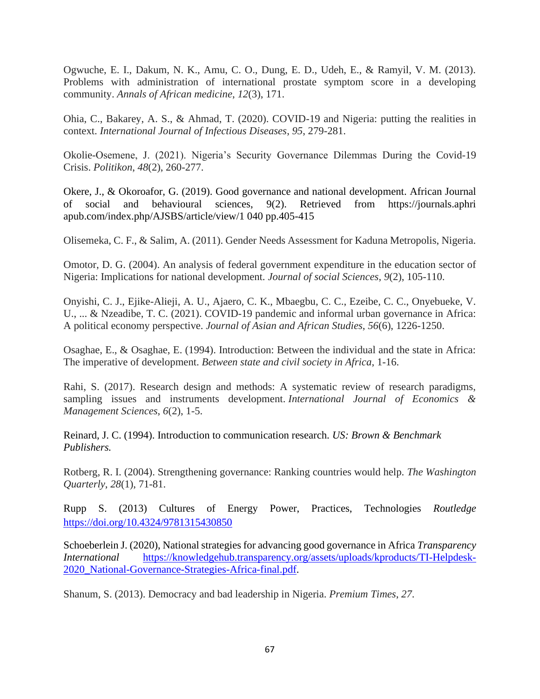Ogwuche, E. I., Dakum, N. K., Amu, C. O., Dung, E. D., Udeh, E., & Ramyil, V. M. (2013). Problems with administration of international prostate symptom score in a developing community. *Annals of African medicine*, *12*(3), 171.

Ohia, C., Bakarey, A. S., & Ahmad, T. (2020). COVID-19 and Nigeria: putting the realities in context. *International Journal of Infectious Diseases*, *95*, 279-281.

Okolie-Osemene, J. (2021). Nigeria's Security Governance Dilemmas During the Covid-19 Crisis. *Politikon*, *48*(2), 260-277.

Okere, J., & Okoroafor, G. (2019). Good governance and national development. African Journal of social and behavioural sciences, 9(2). Retrieved from https://journals.aphri apub.com/index.php/AJSBS/article/view/1 040 pp.405-415

Olisemeka, C. F., & Salim, A. (2011). Gender Needs Assessment for Kaduna Metropolis, Nigeria.

Omotor, D. G. (2004). An analysis of federal government expenditure in the education sector of Nigeria: Implications for national development. *Journal of social Sciences*, *9*(2), 105-110.

Onyishi, C. J., Ejike-Alieji, A. U., Ajaero, C. K., Mbaegbu, C. C., Ezeibe, C. C., Onyebueke, V. U., ... & Nzeadibe, T. C. (2021). COVID-19 pandemic and informal urban governance in Africa: A political economy perspective. *Journal of Asian and African Studies*, *56*(6), 1226-1250.

Osaghae, E., & Osaghae, E. (1994). Introduction: Between the individual and the state in Africa: The imperative of development. *Between state and civil society in Africa*, 1-16.

Rahi, S. (2017). Research design and methods: A systematic review of research paradigms, sampling issues and instruments development. *International Journal of Economics & Management Sciences*, *6*(2), 1-5.

Reinard, J. C. (1994). Introduction to communication research. *US: Brown & Benchmark Publishers.*

Rotberg, R. I. (2004). Strengthening governance: Ranking countries would help. *The Washington Quarterly*, *28*(1), 71-81.

Rupp S. (2013) Cultures of Energy Power, Practices, Technologies *Routledge*  <https://doi.org/10.4324/9781315430850>

Schoeberlein J. (2020), National strategies for advancing good governance in Africa *Transparency International* [https://knowledgehub.transparency.org/assets/uploads/kproducts/TI-Helpdesk-](https://knowledgehub.transparency.org/assets/uploads/kproducts/TI-Helpdesk-2020_National-Governance-Strategies-Africa-final.pdf)[2020\\_National-Governance-Strategies-Africa-final.pdf.](https://knowledgehub.transparency.org/assets/uploads/kproducts/TI-Helpdesk-2020_National-Governance-Strategies-Africa-final.pdf)

Shanum, S. (2013). Democracy and bad leadership in Nigeria. *Premium Times*, *27*.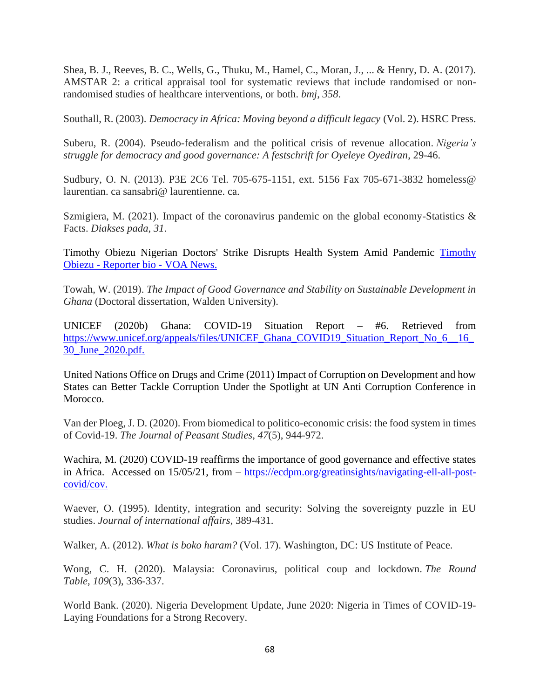Shea, B. J., Reeves, B. C., Wells, G., Thuku, M., Hamel, C., Moran, J., ... & Henry, D. A. (2017). AMSTAR 2: a critical appraisal tool for systematic reviews that include randomised or nonrandomised studies of healthcare interventions, or both. *bmj*, *358*.

Southall, R. (2003). *Democracy in Africa: Moving beyond a difficult legacy* (Vol. 2). HSRC Press.

Suberu, R. (2004). Pseudo-federalism and the political crisis of revenue allocation. *Nigeria's struggle for democracy and good governance: A festschrift for Oyeleye Oyediran*, 29-46.

Sudbury, O. N. (2013). P3E 2C6 Tel. 705-675-1151, ext. 5156 Fax 705-671-3832 homeless@ laurentian. ca sansabri@ laurentienne. ca.

Szmigiera, M. (2021). Impact of the coronavirus pandemic on the global economy-Statistics & Facts. *Diakses pada*, *31*.

Timothy Obiezu Nigerian Doctors' Strike Disrupts Health System Amid Pandemic [Timothy](https://www.voanews.com/author/timothy-obiezu/j$oym)  Obiezu - [Reporter bio -](https://www.voanews.com/author/timothy-obiezu/j$oym) VOA News.

Towah, W. (2019). *The Impact of Good Governance and Stability on Sustainable Development in Ghana* (Doctoral dissertation, Walden University).

UNICEF (2020b) Ghana: COVID-19 Situation Report – #6. Retrieved from [https://www.unicef.org/appeals/files/UNICEF\\_Ghana\\_COVID19\\_Situation\\_Report\\_No\\_6\\_\\_16\\_](https://www.unicef.org/appeals/files/UNICEF_Ghana_COVID19_Situation_Report_No_6__16_30_June_2020.pdf) [30\\_June\\_2020.pdf.](https://www.unicef.org/appeals/files/UNICEF_Ghana_COVID19_Situation_Report_No_6__16_30_June_2020.pdf)

United Nations Office on Drugs and Crime (2011) Impact of Corruption on Development and how States can Better Tackle Corruption Under the Spotlight at UN Anti Corruption Conference in Morocco.

Van der Ploeg, J. D. (2020). From biomedical to politico-economic crisis: the food system in times of Covid-19. *The Journal of Peasant Studies*, *47*(5), 944-972.

Wachira, M. (2020) COVID-19 reaffirms the importance of good governance and effective states in Africa. Accessed on 15/05/21, from – [https://ecdpm.org/greatinsights/navigating-ell-all-post](https://ecdpm.org/great-insights/navigating-ell-all-post-covid/cov)[covid/cov.](https://ecdpm.org/great-insights/navigating-ell-all-post-covid/cov)

Waever, O. (1995). Identity, integration and security: Solving the sovereignty puzzle in EU studies. *Journal of international affairs*, 389-431.

Walker, A. (2012). *What is boko haram?* (Vol. 17). Washington, DC: US Institute of Peace.

Wong, C. H. (2020). Malaysia: Coronavirus, political coup and lockdown. *The Round Table*, *109*(3), 336-337.

World Bank. (2020). Nigeria Development Update, June 2020: Nigeria in Times of COVID-19- Laying Foundations for a Strong Recovery.